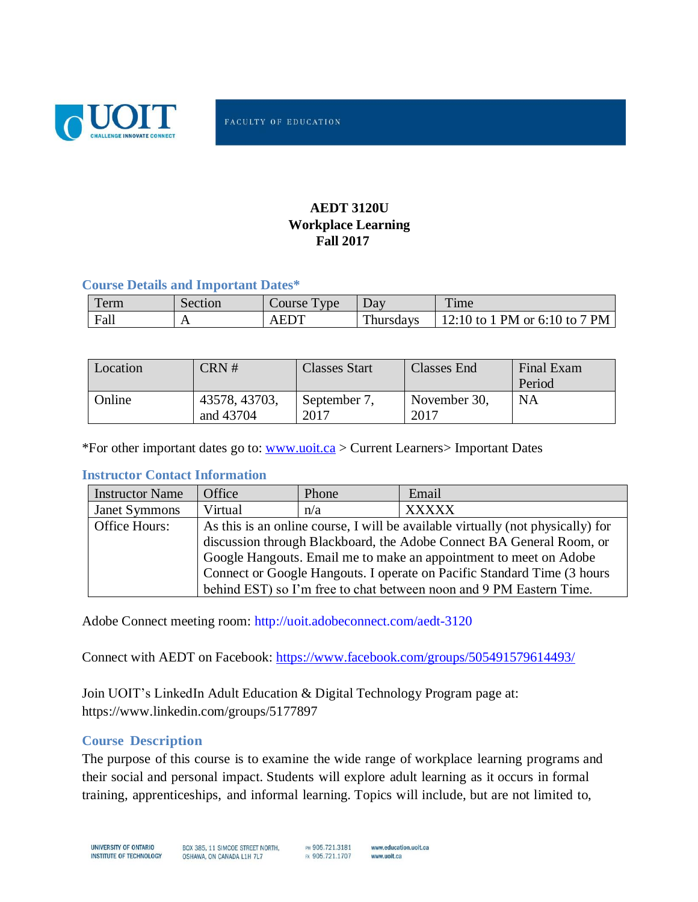

# **AEDT 3120U Workplace Learning Fall 2017**

## **Course Details and Important Dates\***

| erm  | Section        | <b>v</b> ne<br>Course | Dav       | Time                                                   |
|------|----------------|-----------------------|-----------|--------------------------------------------------------|
| Fall | $\overline{ }$ | $\triangle$ FDT       | Thursdays | $'$ PM or 6:10 to .<br>$7$ PM<br>$12.10 \text{ to } 1$ |

| Location | CRN#          | <b>Classes Start</b> | Classes End  | Final Exam |
|----------|---------------|----------------------|--------------|------------|
|          |               |                      |              | Period     |
| Online   | 43578, 43703, | September 7,         | November 30, | NA         |
|          | and 43704     | 2017                 | 2017         |            |

\*For other important dates go to: [www.uoit.ca](http://www.uoit.ca/) > Current Learners> Important Dates

## **Instructor Contact Information**

| <b>Instructor Name</b> | <b>Office</b>                                                                   | Phone | Email        |  |  |
|------------------------|---------------------------------------------------------------------------------|-------|--------------|--|--|
| <b>Janet Symmons</b>   | Virtual                                                                         | n/a   | <b>XXXXX</b> |  |  |
| Office Hours:          | As this is an online course, I will be available virtually (not physically) for |       |              |  |  |
|                        | discussion through Blackboard, the Adobe Connect BA General Room, or            |       |              |  |  |
|                        | Google Hangouts. Email me to make an appointment to meet on Adobe               |       |              |  |  |
|                        | Connect or Google Hangouts. I operate on Pacific Standard Time (3 hours         |       |              |  |  |
|                        | behind EST) so I'm free to chat between noon and 9 PM Eastern Time.             |       |              |  |  |

Adobe Connect meeting room: [http://uoit.adobeconnect.com/aedt-3120](http://uoit.adobeconnect.com/aedt-3120u-201709-43578/)

Connect with AEDT on Facebook:<https://www.facebook.com/groups/505491579614493/>

Join UOIT's LinkedIn Adult Education & Digital Technology Program page at: https://www.linkedin.com/groups/5177897

### **Course Description**

The purpose of this course is to examine the wide range of workplace learning programs and their social and personal impact. Students will explore adult learning as it occurs in formal training, apprenticeships, and informal learning. Topics will include, but are not limited to,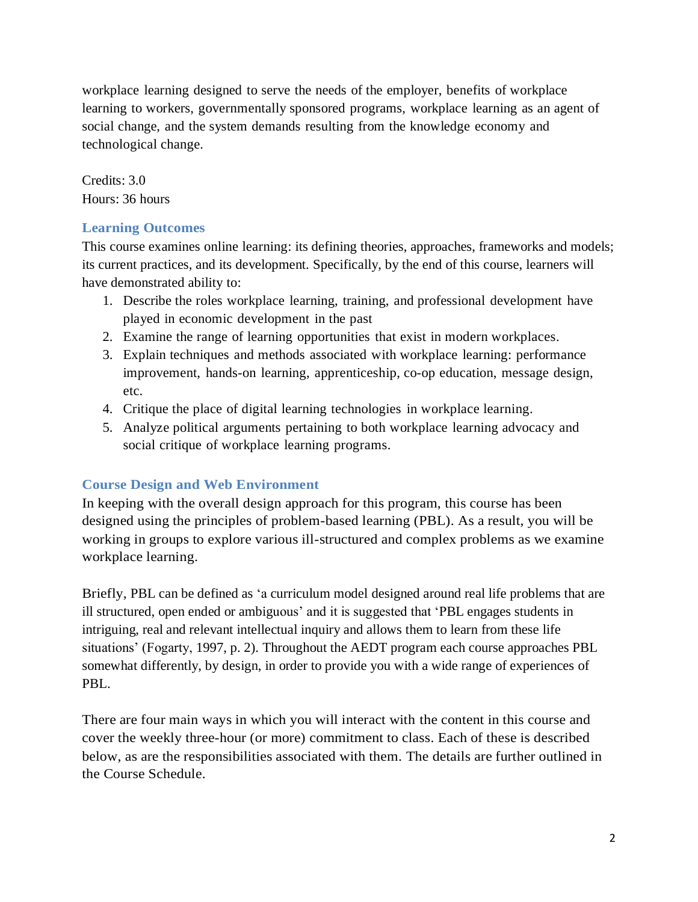workplace learning designed to serve the needs of the employer, benefits of workplace learning to workers, governmentally sponsored programs, workplace learning as an agent of social change, and the system demands resulting from the knowledge economy and technological change.

Credits: 3.0 Hours: 36 hours

# **Learning Outcomes**

This course examines online learning: its defining theories, approaches, frameworks and models; its current practices, and its development. Specifically, by the end of this course, learners will have demonstrated ability to:

- 1. Describe the roles workplace learning, training, and professional development have played in economic development in the past
- 2. Examine the range of learning opportunities that exist in modern workplaces.
- 3. Explain techniques and methods associated with workplace learning: performance improvement, hands-on learning, apprenticeship, co-op education, message design, etc.
- 4. Critique the place of digital learning technologies in workplace learning.
- 5. Analyze political arguments pertaining to both workplace learning advocacy and social critique of workplace learning programs.

# **Course Design and Web Environment**

In keeping with the overall design approach for this program, this course has been designed using the principles of problem-based learning (PBL). As a result, you will be working in groups to explore various ill-structured and complex problems as we examine workplace learning.

Briefly, PBL can be defined as 'a curriculum model designed around real life problems that are ill structured, open ended or ambiguous' and it is suggested that 'PBL engages students in intriguing, real and relevant intellectual inquiry and allows them to learn from these life situations' (Fogarty, 1997, p. 2). Throughout the AEDT program each course approaches PBL somewhat differently, by design, in order to provide you with a wide range of experiences of PBL.

There are four main ways in which you will interact with the content in this course and cover the weekly three-hour (or more) commitment to class. Each of these is described below, as are the responsibilities associated with them. The details are further outlined in the Course Schedule.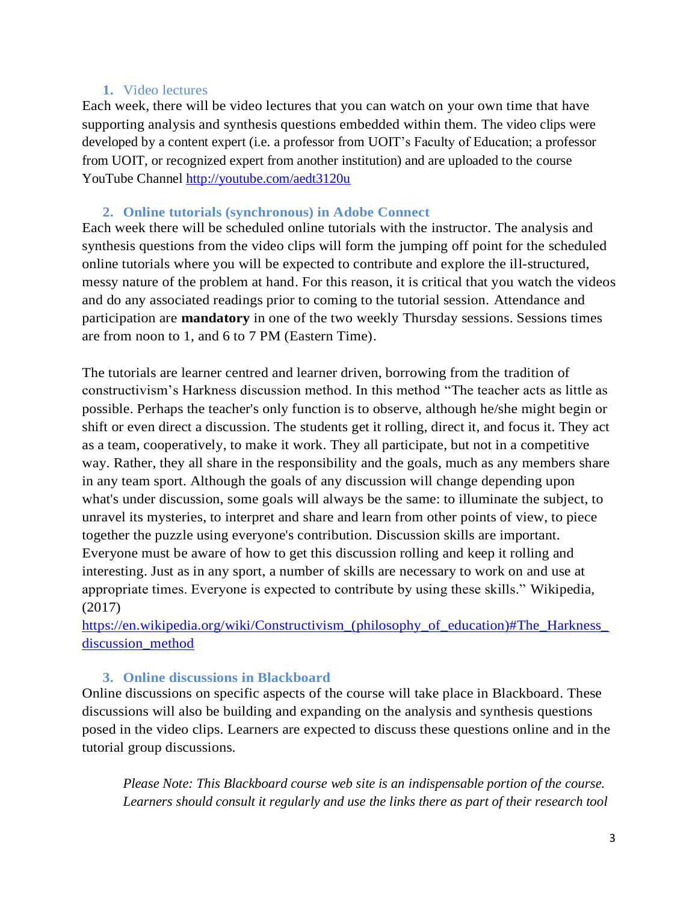## **1.** Video lectures

Each week, there will be video lectures that you can watch on your own time that have supporting analysis and synthesis questions embedded within them. The video clips were developed by a content expert (i.e. a professor from UOIT's Faculty of Education; a professor from UOIT, or recognized expert from another institution) and are uploaded to the course YouTube Channel<http://youtube.com/aedt3120u>

## **2. Online tutorials (synchronous) in Adobe Connect**

Each week there will be scheduled online tutorials with the instructor. The analysis and synthesis questions from the video clips will form the jumping off point for the scheduled online tutorials where you will be expected to contribute and explore the ill-structured, messy nature of the problem at hand. For this reason, it is critical that you watch the videos and do any associated readings prior to coming to the tutorial session. Attendance and participation are **mandatory** in one of the two weekly Thursday sessions. Sessions times are from noon to 1, and 6 to 7 PM (Eastern Time).

The tutorials are learner centred and learner driven, borrowing from the tradition of constructivism's Harkness discussion method. In this method "The teacher acts as little as possible. Perhaps the teacher's only function is to observe, although he/she might begin or shift or even direct a discussion. The students get it rolling, direct it, and focus it. They act as a team, cooperatively, to make it work. They all participate, but not in a competitive way. Rather, they all share in the responsibility and the goals, much as any members share in any team sport. Although the goals of any discussion will change depending upon what's under discussion, some goals will always be the same: to illuminate the subject, to unravel its mysteries, to interpret and share and learn from other points of view, to piece together the puzzle using everyone's contribution. Discussion skills are important. Everyone must be aware of how to get this discussion rolling and keep it rolling and interesting. Just as in any sport, a number of skills are necessary to work on and use at appropriate times. Everyone is expected to contribute by using these skills." Wikipedia, (2017)

[https://en.wikipedia.org/wiki/Constructivism\\_\(philosophy\\_of\\_education\)#The\\_Harkness\\_](https://en.wikipedia.org/wiki/Constructivism_(philosophy_of_education)#The_Harkness_discussion_method) [discussion\\_method](https://en.wikipedia.org/wiki/Constructivism_(philosophy_of_education)#The_Harkness_discussion_method)

## **3. Online discussions in Blackboard**

Online discussions on specific aspects of the course will take place in Blackboard. These discussions will also be building and expanding on the analysis and synthesis questions posed in the video clips. Learners are expected to discuss these questions online and in the tutorial group discussions.

*Please Note: This Blackboard course web site is an indispensable portion of the course. Learners should consult it regularly and use the links there as part of their research tool*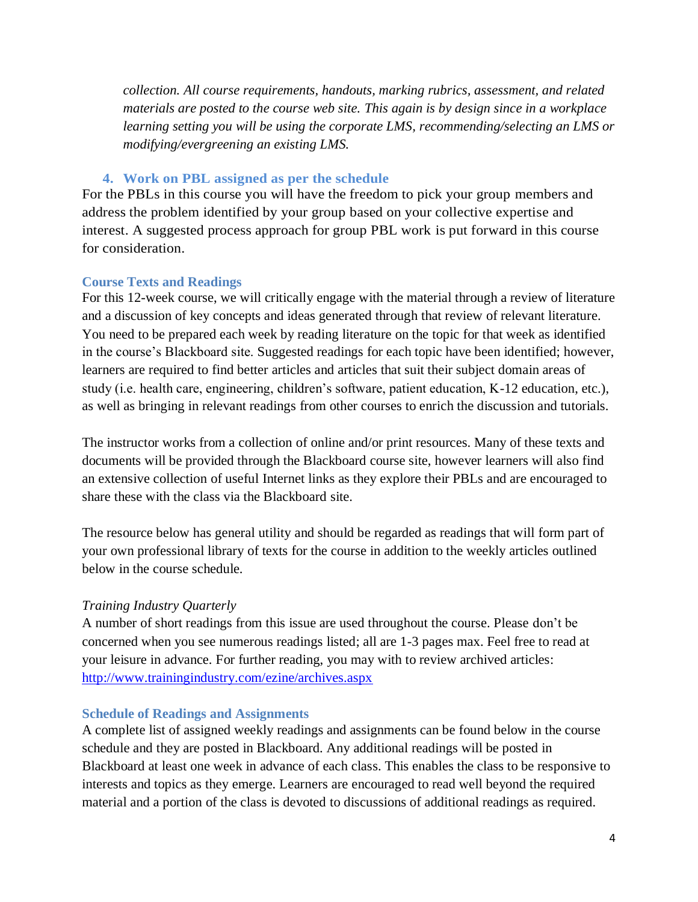*collection. All course requirements, handouts, marking rubrics, assessment, and related materials are posted to the course web site. This again is by design since in a workplace learning setting you will be using the corporate LMS, recommending/selecting an LMS or modifying/evergreening an existing LMS.*

## **4. Work on PBL assigned as per the schedule**

For the PBLs in this course you will have the freedom to pick your group members and address the problem identified by your group based on your collective expertise and interest. A suggested process approach for group PBL work is put forward in this course for consideration.

## **Course Texts and Readings**

For this 12-week course, we will critically engage with the material through a review of literature and a discussion of key concepts and ideas generated through that review of relevant literature. You need to be prepared each week by reading literature on the topic for that week as identified in the course's Blackboard site. Suggested readings for each topic have been identified; however, learners are required to find better articles and articles that suit their subject domain areas of study (i.e. health care, engineering, children's software, patient education, K-12 education, etc.), as well as bringing in relevant readings from other courses to enrich the discussion and tutorials.

The instructor works from a collection of online and/or print resources. Many of these texts and documents will be provided through the Blackboard course site, however learners will also find an extensive collection of useful Internet links as they explore their PBLs and are encouraged to share these with the class via the Blackboard site.

The resource below has general utility and should be regarded as readings that will form part of your own professional library of texts for the course in addition to the weekly articles outlined below in the course schedule.

## *Training Industry Quarterly*

A number of short readings from this issue are used throughout the course. Please don't be concerned when you see numerous readings listed; all are 1-3 pages max. Feel free to read at your leisure in advance. For further reading, you may with to review archived articles: <http://www.trainingindustry.com/ezine/archives.aspx>

### **Schedule of Readings and Assignments**

A complete list of assigned weekly readings and assignments can be found below in the course schedule and they are posted in Blackboard. Any additional readings will be posted in Blackboard at least one week in advance of each class. This enables the class to be responsive to interests and topics as they emerge. Learners are encouraged to read well beyond the required material and a portion of the class is devoted to discussions of additional readings as required.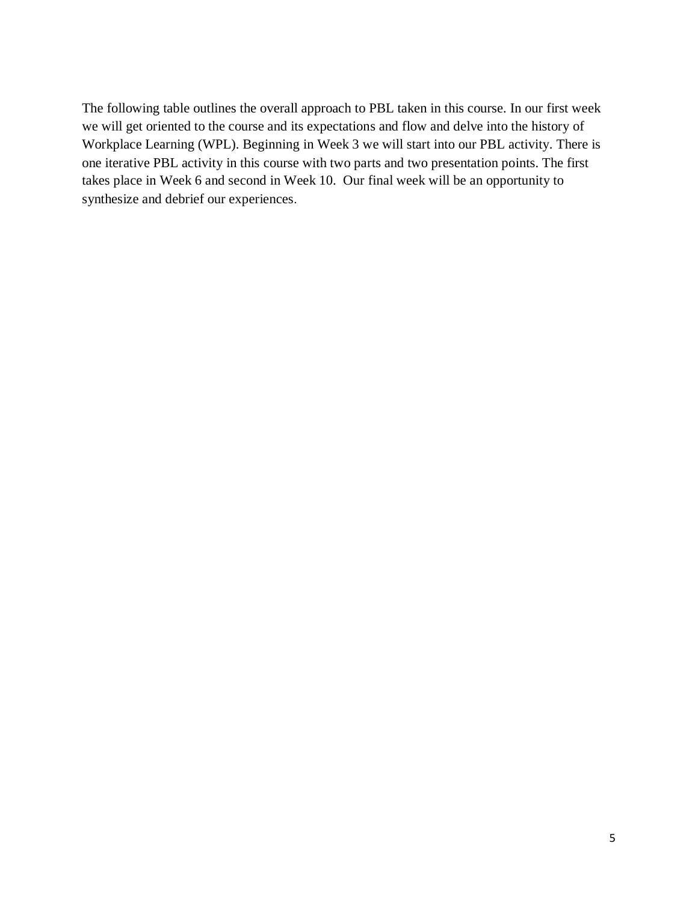The following table outlines the overall approach to PBL taken in this course. In our first week we will get oriented to the course and its expectations and flow and delve into the history of Workplace Learning (WPL). Beginning in Week 3 we will start into our PBL activity. There is one iterative PBL activity in this course with two parts and two presentation points. The first takes place in Week 6 and second in Week 10. Our final week will be an opportunity to synthesize and debrief our experiences.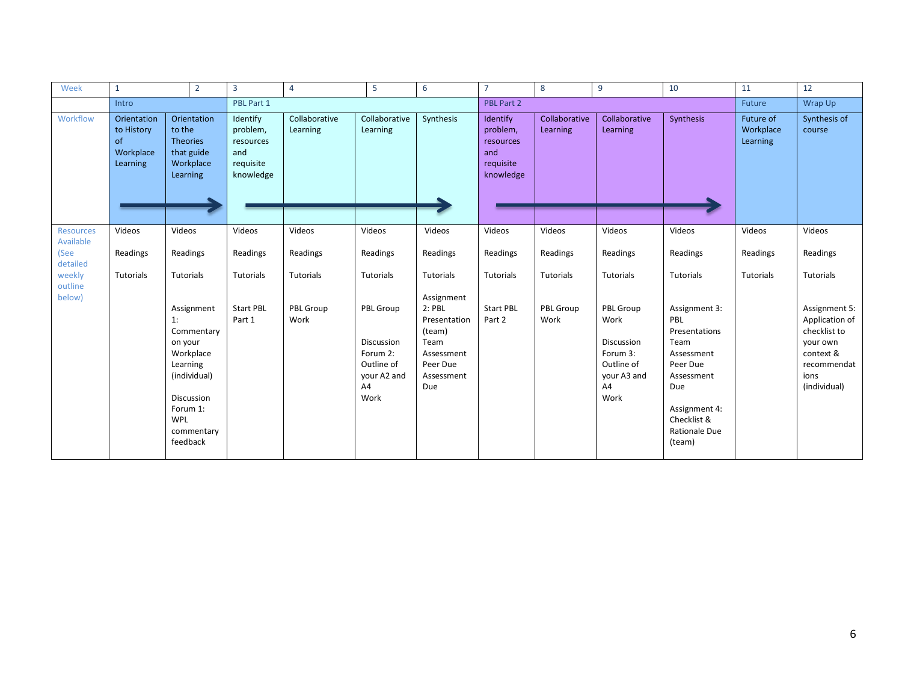| Week                          | $\mathbf{1}$                                             | $\overline{2}$                                                                                                                                | 3                                                                  |            | $\overline{4}$            | 5                                                                                     | 6                                                                                                       | $\overline{7}$                                                     | 8                         | 9                                                                                      | 10                                                                                                                                                             | 11                                        | 12                                                                                                              |
|-------------------------------|----------------------------------------------------------|-----------------------------------------------------------------------------------------------------------------------------------------------|--------------------------------------------------------------------|------------|---------------------------|---------------------------------------------------------------------------------------|---------------------------------------------------------------------------------------------------------|--------------------------------------------------------------------|---------------------------|----------------------------------------------------------------------------------------|----------------------------------------------------------------------------------------------------------------------------------------------------------------|-------------------------------------------|-----------------------------------------------------------------------------------------------------------------|
|                               | Intro                                                    |                                                                                                                                               |                                                                    | PBL Part 1 |                           |                                                                                       |                                                                                                         | PBL Part 2                                                         |                           |                                                                                        |                                                                                                                                                                |                                           | Wrap Up                                                                                                         |
| Workflow                      | Orientation<br>to History<br>of<br>Workplace<br>Learning | Orientation<br>to the<br><b>Theories</b><br>that guide<br>Workplace<br>Learning                                                               | Identify<br>problem,<br>resources<br>and<br>requisite<br>knowledge |            | Collaborative<br>Learning | Collaborative<br>Learning                                                             | Synthesis                                                                                               | Identify<br>problem,<br>resources<br>and<br>requisite<br>knowledge | Collaborative<br>Learning | Collaborative<br>Learning                                                              | Synthesis                                                                                                                                                      | <b>Future of</b><br>Workplace<br>Learning | Synthesis of<br>course                                                                                          |
| <b>Resources</b><br>Available | Videos                                                   | Videos                                                                                                                                        | Videos                                                             |            | Videos                    | Videos                                                                                | Videos                                                                                                  | Videos                                                             | Videos                    | Videos                                                                                 | Videos                                                                                                                                                         | Videos                                    | Videos                                                                                                          |
| (See<br>detailed              | Readings                                                 | Readings                                                                                                                                      | Readings                                                           |            | Readings                  | Readings                                                                              | Readings                                                                                                | Readings                                                           | Readings                  | Readings                                                                               | Readings                                                                                                                                                       | Readings                                  | Readings                                                                                                        |
| weekly<br>outline             | Tutorials                                                | Tutorials                                                                                                                                     | Tutorials                                                          |            | Tutorials                 | Tutorials                                                                             | Tutorials                                                                                               | Tutorials                                                          | <b>Tutorials</b>          | Tutorials                                                                              | Tutorials                                                                                                                                                      | Tutorials                                 | Tutorials                                                                                                       |
| below)                        |                                                          | Assignment<br>1:<br>Commentary<br>on your<br>Workplace<br>Learning<br>(individual)<br>Discussion<br>Forum 1:<br>WPL<br>commentary<br>feedback | <b>Start PBL</b><br>Part 1                                         |            | PBL Group<br>Work         | PBL Group<br><b>Discussion</b><br>Forum 2:<br>Outline of<br>your A2 and<br>A4<br>Work | Assignment<br>$2:$ PBL<br>Presentation<br>(team)<br>Team<br>Assessment<br>Peer Due<br>Assessment<br>Due | <b>Start PBL</b><br>Part 2                                         | PBL Group<br>Work         | PBL Group<br>Work<br>Discussion<br>Forum 3:<br>Outline of<br>your A3 and<br>A4<br>Work | Assignment 3:<br>PBL<br>Presentations<br>Team<br>Assessment<br>Peer Due<br>Assessment<br>Due<br>Assignment 4:<br>Checklist &<br><b>Rationale Due</b><br>(team) |                                           | Assignment 5:<br>Application of<br>checklist to<br>your own<br>context &<br>recommendat<br>ions<br>(individual) |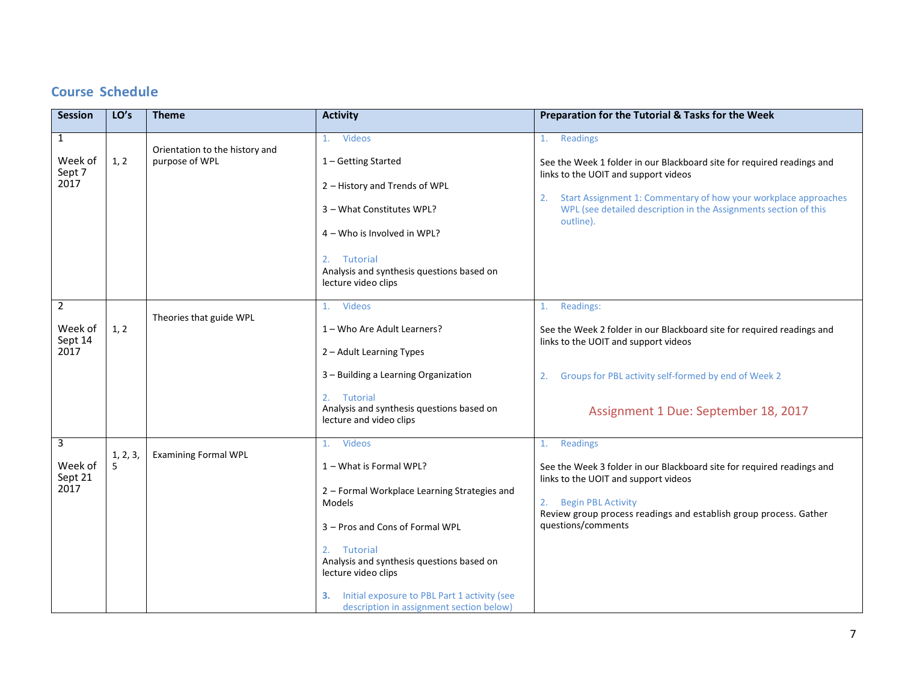# **Course Schedule**

| <b>Session</b>                               | LO's          | <b>Theme</b>                                     | <b>Activity</b>                                                                                                                                                                                                                                                                                                                  | Preparation for the Tutorial & Tasks for the Week                                                                                                                                                                                                                                       |
|----------------------------------------------|---------------|--------------------------------------------------|----------------------------------------------------------------------------------------------------------------------------------------------------------------------------------------------------------------------------------------------------------------------------------------------------------------------------------|-----------------------------------------------------------------------------------------------------------------------------------------------------------------------------------------------------------------------------------------------------------------------------------------|
| $\mathbf{1}$<br>Week of<br>Sept 7<br>2017    | 1, 2          | Orientation to the history and<br>purpose of WPL | 1. Videos<br>1 - Getting Started<br>2 - History and Trends of WPL<br>3 - What Constitutes WPL?<br>4 - Who is Involved in WPL?<br>Tutorial<br>2.<br>Analysis and synthesis questions based on<br>lecture video clips                                                                                                              | 1. Readings<br>See the Week 1 folder in our Blackboard site for required readings and<br>links to the UOIT and support videos<br>Start Assignment 1: Commentary of how your workplace approaches<br>2.<br>WPL (see detailed description in the Assignments section of this<br>outline). |
| $\overline{2}$<br>Week of<br>Sept 14<br>2017 | 1, 2          | Theories that guide WPL                          | <b>Videos</b><br>1.<br>1 - Who Are Adult Learners?<br>2 - Adult Learning Types<br>3 - Building a Learning Organization<br>2.<br>Tutorial<br>Analysis and synthesis questions based on<br>lecture and video clips                                                                                                                 | Readings:<br>1.<br>See the Week 2 folder in our Blackboard site for required readings and<br>links to the UOIT and support videos<br>Groups for PBL activity self-formed by end of Week 2<br>2.<br>Assignment 1 Due: September 18, 2017                                                 |
| 3<br>Week of<br>Sept 21<br>2017              | 1, 2, 3,<br>5 | <b>Examining Formal WPL</b>                      | Videos<br>1.<br>1 - What is Formal WPL?<br>2 - Formal Workplace Learning Strategies and<br><b>Models</b><br>3 - Pros and Cons of Formal WPL<br>2. Tutorial<br>Analysis and synthesis questions based on<br>lecture video clips<br>Initial exposure to PBL Part 1 activity (see<br>З.<br>description in assignment section below) | Readings<br>1.<br>See the Week 3 folder in our Blackboard site for required readings and<br>links to the UOIT and support videos<br><b>Begin PBL Activity</b><br>2.<br>Review group process readings and establish group process. Gather<br>questions/comments                          |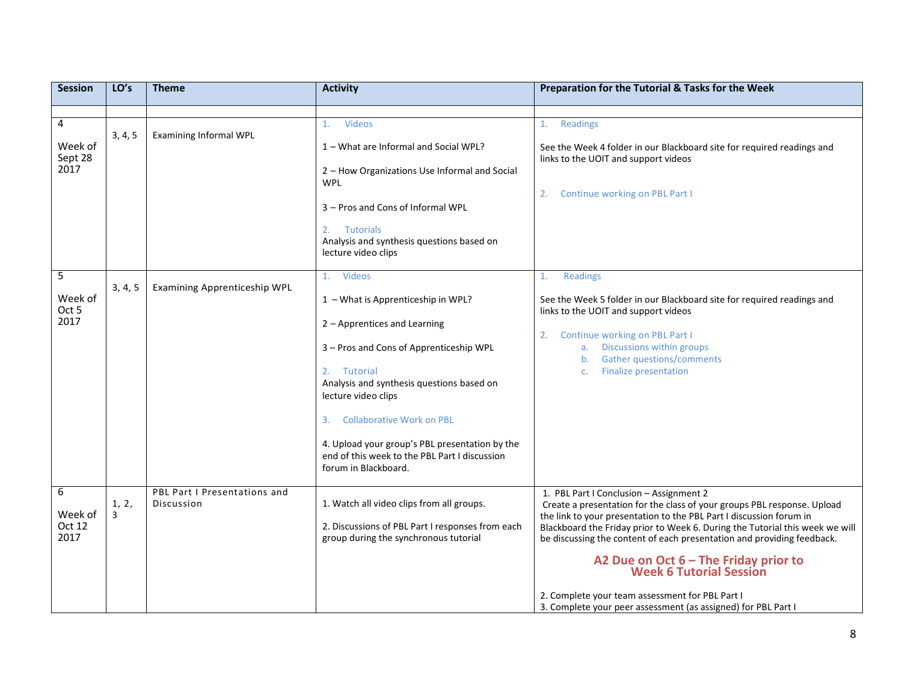| <b>Session</b>             | LO's    | <b>Theme</b>                               | <b>Activity</b>                                                                                                         | Preparation for the Tutorial & Tasks for the Week                                                                                                                                                                             |
|----------------------------|---------|--------------------------------------------|-------------------------------------------------------------------------------------------------------------------------|-------------------------------------------------------------------------------------------------------------------------------------------------------------------------------------------------------------------------------|
|                            |         |                                            |                                                                                                                         |                                                                                                                                                                                                                               |
| 4                          | 3, 4, 5 | <b>Examining Informal WPL</b>              | <b>Videos</b><br>1.                                                                                                     | <b>Readings</b><br>1.                                                                                                                                                                                                         |
| Week of<br>Sept 28<br>2017 |         |                                            | 1 – What are Informal and Social WPL?                                                                                   | See the Week 4 folder in our Blackboard site for required readings and<br>links to the UOIT and support videos                                                                                                                |
|                            |         |                                            | 2 - How Organizations Use Informal and Social<br><b>WPL</b>                                                             | Continue working on PBL Part I<br>2.                                                                                                                                                                                          |
|                            |         |                                            | 3 - Pros and Cons of Informal WPL                                                                                       |                                                                                                                                                                                                                               |
|                            |         |                                            | 2.<br>Tutorials<br>Analysis and synthesis questions based on<br>lecture video clips                                     |                                                                                                                                                                                                                               |
| 5                          |         |                                            | Videos<br>1.                                                                                                            | Readings<br>1.                                                                                                                                                                                                                |
| Week of<br>Oct 5           | 3, 4, 5 | <b>Examining Apprenticeship WPL</b>        | 1 - What is Apprenticeship in WPL?                                                                                      | See the Week 5 folder in our Blackboard site for required readings and<br>links to the UOIT and support videos                                                                                                                |
| 2017                       |         |                                            | 2 - Apprentices and Learning                                                                                            | Continue working on PBL Part I<br>2.                                                                                                                                                                                          |
|                            |         |                                            | 3 - Pros and Cons of Apprenticeship WPL                                                                                 | Discussions within groups<br>a.<br><b>Gather questions/comments</b><br>b <sub>1</sub>                                                                                                                                         |
|                            |         |                                            | 2. Tutorial                                                                                                             | <b>Finalize presentation</b><br>C <sub>1</sub>                                                                                                                                                                                |
|                            |         |                                            | Analysis and synthesis questions based on<br>lecture video clips                                                        |                                                                                                                                                                                                                               |
|                            |         |                                            | <b>Collaborative Work on PBL</b><br>3.                                                                                  |                                                                                                                                                                                                                               |
|                            |         |                                            | 4. Upload your group's PBL presentation by the<br>end of this week to the PBL Part I discussion<br>forum in Blackboard. |                                                                                                                                                                                                                               |
| 6                          | 1, 2,   | PBL Part I Presentations and<br>Discussion | 1. Watch all video clips from all groups.                                                                               | 1. PBL Part I Conclusion - Assignment 2<br>Create a presentation for the class of your groups PBL response. Upload                                                                                                            |
| Week of<br>Oct 12<br>2017  | 3       |                                            | 2. Discussions of PBL Part I responses from each<br>group during the synchronous tutorial                               | the link to your presentation to the PBL Part I discussion forum in<br>Blackboard the Friday prior to Week 6. During the Tutorial this week we will<br>be discussing the content of each presentation and providing feedback. |
|                            |         |                                            |                                                                                                                         | A2 Due on Oct 6 - The Friday prior to<br>Week 6 Tutorial Session                                                                                                                                                              |
|                            |         |                                            |                                                                                                                         | 2. Complete your team assessment for PBL Part I<br>3. Complete your peer assessment (as assigned) for PBL Part I                                                                                                              |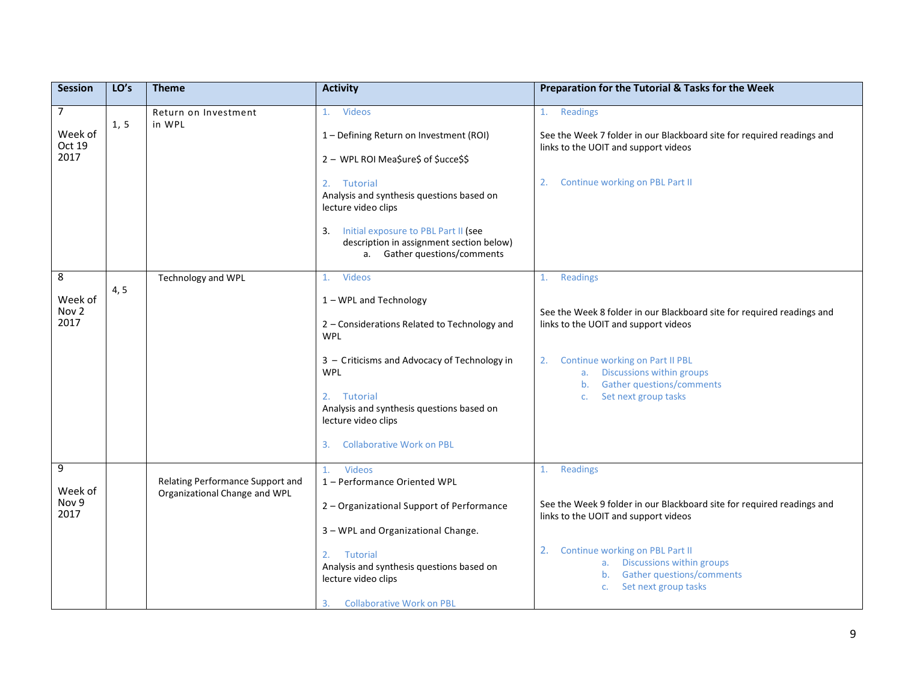| <b>Session</b>                              | LO's | <b>Theme</b>                                                      | <b>Activity</b>                                                                                                                                                                            | Preparation for the Tutorial & Tasks for the Week                                                                                                                         |
|---------------------------------------------|------|-------------------------------------------------------------------|--------------------------------------------------------------------------------------------------------------------------------------------------------------------------------------------|---------------------------------------------------------------------------------------------------------------------------------------------------------------------------|
| $\overline{7}$<br>Week of<br>Oct 19<br>2017 | 1, 5 | Return on Investment<br>in WPL                                    | 1. Videos<br>1 - Defining Return on Investment (ROI)<br>2 - WPL ROI Mea\$ure\$ of \$ucce\$\$<br>2. Tutorial                                                                                | Readings<br>1.<br>See the Week 7 folder in our Blackboard site for required readings and<br>links to the UOIT and support videos<br>Continue working on PBL Part II<br>2. |
|                                             |      |                                                                   | Analysis and synthesis questions based on<br>lecture video clips<br>Initial exposure to PBL Part II (see<br>3.<br>description in assignment section below)<br>a. Gather questions/comments |                                                                                                                                                                           |
| 8                                           | 4, 5 | <b>Technology and WPL</b>                                         | <b>Videos</b><br>1.                                                                                                                                                                        | Readings<br>1.                                                                                                                                                            |
| Week of<br>Nov <sub>2</sub>                 |      |                                                                   | 1 - WPL and Technology                                                                                                                                                                     | See the Week 8 folder in our Blackboard site for required readings and                                                                                                    |
| 2017                                        |      |                                                                   | 2 - Considerations Related to Technology and<br><b>WPL</b>                                                                                                                                 | links to the UOIT and support videos                                                                                                                                      |
|                                             |      |                                                                   | 3 - Criticisms and Advocacy of Technology in<br><b>WPL</b>                                                                                                                                 | Continue working on Part II PBL<br>2.<br>Discussions within groups<br>a.<br>Gather questions/comments<br>b.                                                               |
|                                             |      |                                                                   | 2.<br>Tutorial<br>Analysis and synthesis questions based on<br>lecture video clips                                                                                                         | Set next group tasks<br>C <sub>1</sub>                                                                                                                                    |
|                                             |      |                                                                   | <b>Collaborative Work on PBL</b><br>3.                                                                                                                                                     |                                                                                                                                                                           |
| $\overline{9}$<br>Week of                   |      | Relating Performance Support and<br>Organizational Change and WPL | Videos<br>1.<br>1 - Performance Oriented WPL                                                                                                                                               | Readings<br>1.                                                                                                                                                            |
| Nov 9<br>2017                               |      |                                                                   | 2 - Organizational Support of Performance                                                                                                                                                  | See the Week 9 folder in our Blackboard site for required readings and<br>links to the UOIT and support videos                                                            |
|                                             |      |                                                                   | 3 - WPL and Organizational Change.                                                                                                                                                         |                                                                                                                                                                           |
|                                             |      |                                                                   | Tutorial<br>2.<br>Analysis and synthesis questions based on<br>lecture video clips                                                                                                         | Continue working on PBL Part II<br>2.<br>a. Discussions within groups<br>b. Gather questions/comments<br>Set next group tasks<br>C <sub>1</sub>                           |
|                                             |      |                                                                   | <b>Collaborative Work on PBL</b><br>3.                                                                                                                                                     |                                                                                                                                                                           |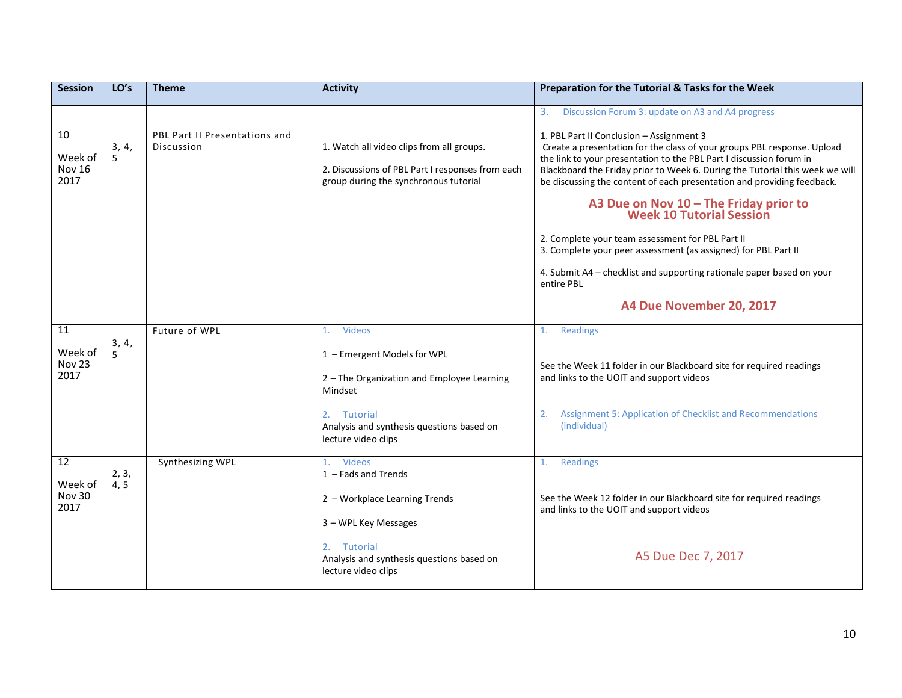| <b>Session</b>                         | LO's          | <b>Theme</b>                                | <b>Activity</b>                                                                                                                                                                                        | Preparation for the Tutorial & Tasks for the Week                                                                                                                                                                                                                                                                                                                                                                                                                                                                                                                                                                                                                   |
|----------------------------------------|---------------|---------------------------------------------|--------------------------------------------------------------------------------------------------------------------------------------------------------------------------------------------------------|---------------------------------------------------------------------------------------------------------------------------------------------------------------------------------------------------------------------------------------------------------------------------------------------------------------------------------------------------------------------------------------------------------------------------------------------------------------------------------------------------------------------------------------------------------------------------------------------------------------------------------------------------------------------|
|                                        |               |                                             |                                                                                                                                                                                                        | Discussion Forum 3: update on A3 and A4 progress<br>3.                                                                                                                                                                                                                                                                                                                                                                                                                                                                                                                                                                                                              |
| 10<br>Week of<br><b>Nov 16</b><br>2017 | 3, 4,<br>5    | PBL Part II Presentations and<br>Discussion | 1. Watch all video clips from all groups.<br>2. Discussions of PBL Part I responses from each<br>group during the synchronous tutorial                                                                 | 1. PBL Part II Conclusion - Assignment 3<br>Create a presentation for the class of your groups PBL response. Upload<br>the link to your presentation to the PBL Part I discussion forum in<br>Blackboard the Friday prior to Week 6. During the Tutorial this week we will<br>be discussing the content of each presentation and providing feedback.<br>A3 Due on Nov 10 - The Friday prior to<br>Week 10 Tutorial Session<br>2. Complete your team assessment for PBL Part II<br>3. Complete your peer assessment (as assigned) for PBL Part II<br>4. Submit A4 - checklist and supporting rationale paper based on your<br>entire PBL<br>A4 Due November 20, 2017 |
| 11<br>Week of<br>Nov 23<br>2017        | 3, 4,<br>5    | Future of WPL                               | Videos<br>$\mathbf{1}$ .<br>1 - Emergent Models for WPL<br>2 - The Organization and Employee Learning<br>Mindset<br>2.<br>Tutorial<br>Analysis and synthesis questions based on<br>lecture video clips | Readings<br>1.<br>See the Week 11 folder in our Blackboard site for required readings<br>and links to the UOIT and support videos<br>2.<br>Assignment 5: Application of Checklist and Recommendations<br>(individual)                                                                                                                                                                                                                                                                                                                                                                                                                                               |
| 12<br>Week of<br>Nov 30<br>2017        | 2, 3,<br>4, 5 | Synthesizing WPL                            | <b>Videos</b><br>1.<br>$1 -$ Fads and Trends<br>2 - Workplace Learning Trends<br>3 - WPL Key Messages<br>2. Tutorial<br>Analysis and synthesis questions based on<br>lecture video clips               | Readings<br>1.<br>See the Week 12 folder in our Blackboard site for required readings<br>and links to the UOIT and support videos<br>A5 Due Dec 7, 2017                                                                                                                                                                                                                                                                                                                                                                                                                                                                                                             |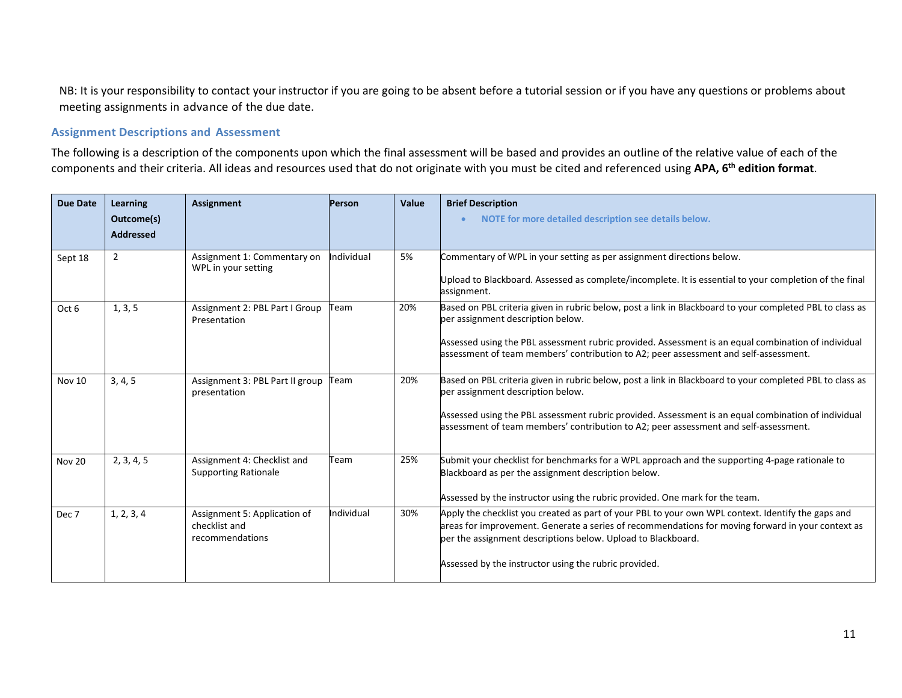NB: It is your responsibility to contact your instructor if you are going to be absent before a tutorial session or if you have any questions or problems about meeting assignments in advance of the due date.

#### **Assignment Descriptions and Assessment**

The following is a description of the components upon which the final assessment will be based and provides an outline of the relative value of each of the components and their criteria. All ideas and resources used that do not originate with you must be cited and referenced using **APA, 6th edition format**.

| Learning<br>Outcome(s)<br><b>Addressed</b> | <b>Assignment</b>                                                | Person     | Value | <b>Brief Description</b><br>NOTE for more detailed description see details below.                                                                                                                                                                                                                                                            |  |
|--------------------------------------------|------------------------------------------------------------------|------------|-------|----------------------------------------------------------------------------------------------------------------------------------------------------------------------------------------------------------------------------------------------------------------------------------------------------------------------------------------------|--|
| $\overline{2}$                             | Assignment 1: Commentary on<br>WPL in your setting               | ndividual  | 5%    | Commentary of WPL in your setting as per assignment directions below.<br>Upload to Blackboard. Assessed as complete/incomplete. It is essential to your completion of the final<br>assignment.                                                                                                                                               |  |
| 1, 3, 5                                    | Assignment 2: PBL Part I Group<br>Presentation                   | Team       | 20%   | Based on PBL criteria given in rubric below, post a link in Blackboard to your completed PBL to class as<br>per assignment description below.<br>Assessed using the PBL assessment rubric provided. Assessment is an equal combination of individual<br>assessment of team members' contribution to A2; peer assessment and self-assessment. |  |
| 3, 4, 5                                    | Assignment 3: PBL Part II group<br>presentation                  | Team       | 20%   | Based on PBL criteria given in rubric below, post a link in Blackboard to your completed PBL to class as<br>per assignment description below.<br>Assessed using the PBL assessment rubric provided. Assessment is an equal combination of individual<br>assessment of team members' contribution to A2; peer assessment and self-assessment. |  |
| 2, 3, 4, 5                                 | Assignment 4: Checklist and<br><b>Supporting Rationale</b>       | Team       | 25%   | Submit your checklist for benchmarks for a WPL approach and the supporting 4-page rationale to<br>Blackboard as per the assignment description below.<br>Assessed by the instructor using the rubric provided. One mark for the team.                                                                                                        |  |
| 1, 2, 3, 4                                 | Assignment 5: Application of<br>checklist and<br>recommendations | Individual | 30%   | Apply the checklist you created as part of your PBL to your own WPL context. Identify the gaps and<br>areas for improvement. Generate a series of recommendations for moving forward in your context as<br>per the assignment descriptions below. Upload to Blackboard.<br>Assessed by the instructor using the rubric provided.             |  |
|                                            |                                                                  |            |       |                                                                                                                                                                                                                                                                                                                                              |  |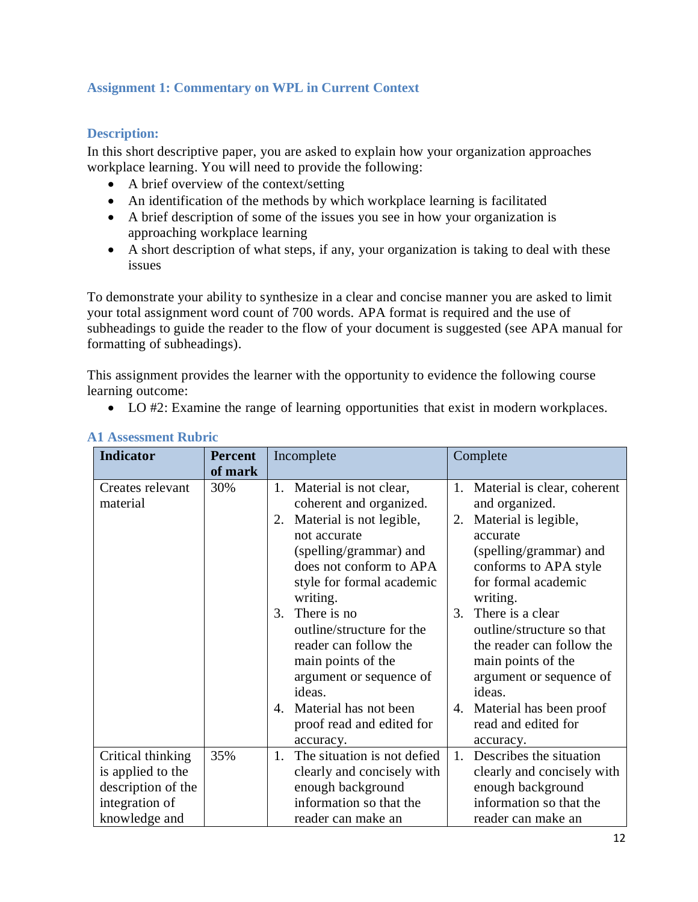# **Assignment 1: Commentary on WPL in Current Context**

## **Description:**

In this short descriptive paper, you are asked to explain how your organization approaches workplace learning. You will need to provide the following:

- A brief overview of the context/setting
- An identification of the methods by which workplace learning is facilitated
- A brief description of some of the issues you see in how your organization is approaching workplace learning
- A short description of what steps, if any, your organization is taking to deal with these issues

To demonstrate your ability to synthesize in a clear and concise manner you are asked to limit your total assignment word count of 700 words. APA format is required and the use of subheadings to guide the reader to the flow of your document is suggested (see APA manual for formatting of subheadings).

This assignment provides the learner with the opportunity to evidence the following course learning outcome:

• LO #2: Examine the range of learning opportunities that exist in modern workplaces.

| Indicator                                                                  | <b>Percent</b> | Incomplete                                                                                                                                                                                                                                                                                                                                                                                                | Complete                                                                                                                                                                                                                                                                                                                                                                          |  |  |
|----------------------------------------------------------------------------|----------------|-----------------------------------------------------------------------------------------------------------------------------------------------------------------------------------------------------------------------------------------------------------------------------------------------------------------------------------------------------------------------------------------------------------|-----------------------------------------------------------------------------------------------------------------------------------------------------------------------------------------------------------------------------------------------------------------------------------------------------------------------------------------------------------------------------------|--|--|
|                                                                            | of mark        |                                                                                                                                                                                                                                                                                                                                                                                                           |                                                                                                                                                                                                                                                                                                                                                                                   |  |  |
| Creates relevant<br>material                                               | 30%            | Material is not clear,<br>1.<br>coherent and organized.<br>Material is not legible,<br>2.<br>not accurate<br>(spelling/grammar) and<br>does not conform to APA<br>style for formal academic<br>writing.<br>There is no<br>3.<br>outline/structure for the<br>reader can follow the<br>main points of the<br>argument or sequence of<br>ideas.<br>Material has not been<br>4.<br>proof read and edited for | 1. Material is clear, coherent<br>and organized.<br>2. Material is legible,<br>accurate<br>(spelling/grammar) and<br>conforms to APA style<br>for formal academic<br>writing.<br>There is a clear<br>3.<br>outline/structure so that<br>the reader can follow the<br>main points of the<br>argument or sequence of<br>ideas.<br>4. Material has been proof<br>read and edited for |  |  |
| Critical thinking                                                          | 35%            | accuracy.<br>The situation is not defied<br>$\mathbf{1}$ .                                                                                                                                                                                                                                                                                                                                                | accuracy.<br>Describes the situation<br>1.                                                                                                                                                                                                                                                                                                                                        |  |  |
| is applied to the<br>description of the<br>integration of<br>knowledge and |                | clearly and concisely with<br>enough background<br>information so that the<br>reader can make an                                                                                                                                                                                                                                                                                                          | clearly and concisely with<br>enough background<br>information so that the<br>reader can make an                                                                                                                                                                                                                                                                                  |  |  |

### **A1 Assessment Rubric**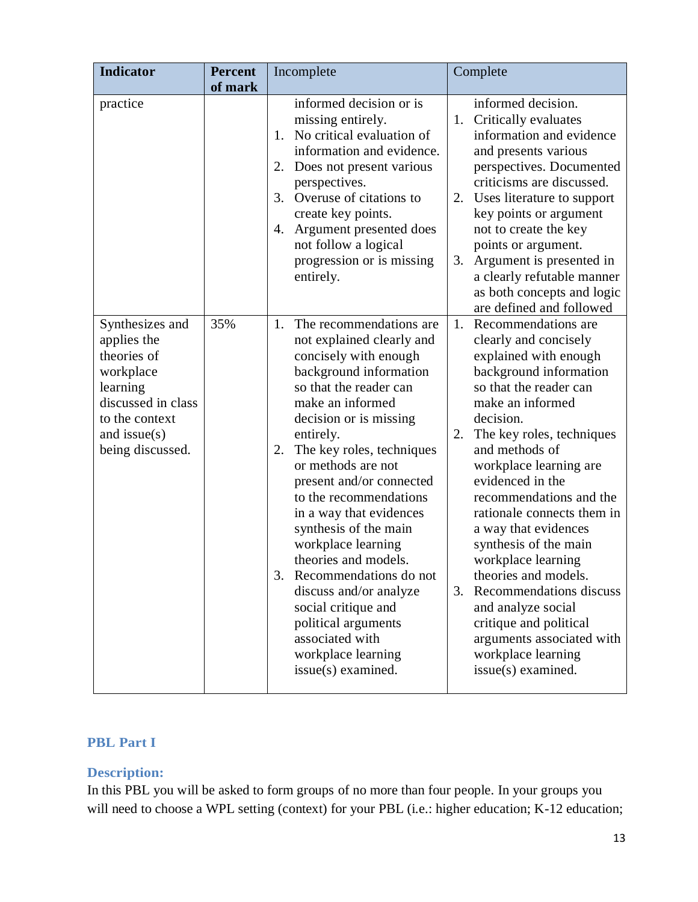| <b>Indicator</b>                                                                                                                                      | <b>Percent</b><br>of mark | Incomplete                                                                                                                                                                                                                                                                                                                                                                                                                                                                                                                                                                                 | Complete                                                                                                                                                                                                                                                                                                                                                                                                                                                                                                                                                                           |
|-------------------------------------------------------------------------------------------------------------------------------------------------------|---------------------------|--------------------------------------------------------------------------------------------------------------------------------------------------------------------------------------------------------------------------------------------------------------------------------------------------------------------------------------------------------------------------------------------------------------------------------------------------------------------------------------------------------------------------------------------------------------------------------------------|------------------------------------------------------------------------------------------------------------------------------------------------------------------------------------------------------------------------------------------------------------------------------------------------------------------------------------------------------------------------------------------------------------------------------------------------------------------------------------------------------------------------------------------------------------------------------------|
| practice                                                                                                                                              |                           | informed decision or is<br>missing entirely.<br>No critical evaluation of<br>1.<br>information and evidence.<br>Does not present various<br>2.<br>perspectives.<br>Overuse of citations to<br>3.<br>create key points.<br>Argument presented does<br>4.<br>not follow a logical<br>progression or is missing<br>entirely.                                                                                                                                                                                                                                                                  | informed decision.<br>1. Critically evaluates<br>information and evidence<br>and presents various<br>perspectives. Documented<br>criticisms are discussed.<br>Uses literature to support<br>2.<br>key points or argument<br>not to create the key<br>points or argument.<br>Argument is presented in<br>3.<br>a clearly refutable manner<br>as both concepts and logic<br>are defined and followed                                                                                                                                                                                 |
| Synthesizes and<br>applies the<br>theories of<br>workplace<br>learning<br>discussed in class<br>to the context<br>and issue $(s)$<br>being discussed. | 35%                       | The recommendations are<br>1.<br>not explained clearly and<br>concisely with enough<br>background information<br>so that the reader can<br>make an informed<br>decision or is missing<br>entirely.<br>The key roles, techniques<br>2.<br>or methods are not<br>present and/or connected<br>to the recommendations<br>in a way that evidences<br>synthesis of the main<br>workplace learning<br>theories and models.<br>Recommendations do not<br>3.<br>discuss and/or analyze<br>social critique and<br>political arguments<br>associated with<br>workplace learning<br>issue(s) examined. | 1. Recommendations are<br>clearly and concisely<br>explained with enough<br>background information<br>so that the reader can<br>make an informed<br>decision.<br>The key roles, techniques<br>2.<br>and methods of<br>workplace learning are<br>evidenced in the<br>recommendations and the<br>rationale connects them in<br>a way that evidences<br>synthesis of the main<br>workplace learning<br>theories and models.<br>Recommendations discuss<br>3.<br>and analyze social<br>critique and political<br>arguments associated with<br>workplace learning<br>issue(s) examined. |

# **PBL Part I**

## **Description:**

In this PBL you will be asked to form groups of no more than four people. In your groups you will need to choose a WPL setting (context) for your PBL (i.e.: higher education; K-12 education;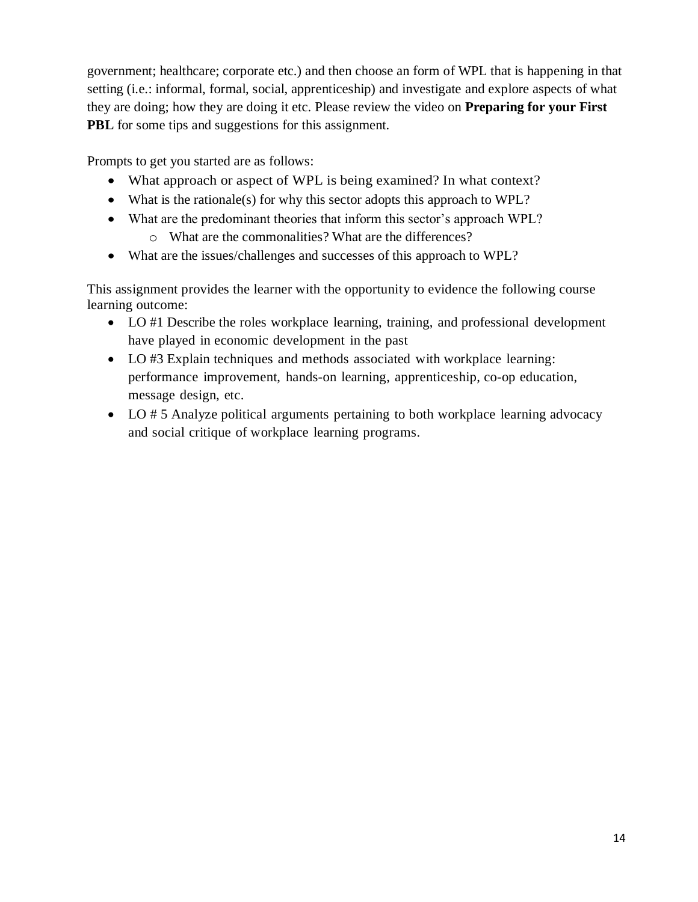government; healthcare; corporate etc.) and then choose an form of WPL that is happening in that setting (i.e.: informal, formal, social, apprenticeship) and investigate and explore aspects of what they are doing; how they are doing it etc. Please review the video on **Preparing for your First PBL** for some tips and suggestions for this assignment.

Prompts to get you started are as follows:

- What approach or aspect of WPL is being examined? In what context?
- What is the rationale(s) for why this sector adopts this approach to WPL?
- What are the predominant theories that inform this sector's approach WPL? o What are the commonalities? What are the differences?
- What are the issues/challenges and successes of this approach to WPL?

This assignment provides the learner with the opportunity to evidence the following course learning outcome:

- LO #1 Describe the roles workplace learning, training, and professional development have played in economic development in the past
- LO #3 Explain techniques and methods associated with workplace learning: performance improvement, hands-on learning, apprenticeship, co-op education, message design, etc.
- LO # 5 Analyze political arguments pertaining to both workplace learning advocacy and social critique of workplace learning programs.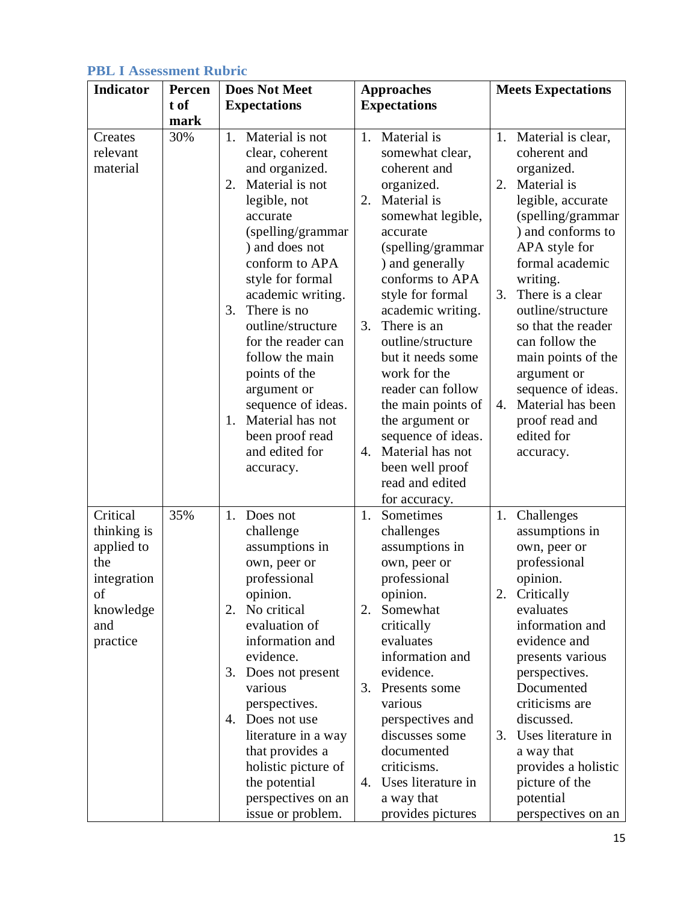| <b>PBL I Assessment Rubric</b> |  |  |  |  |
|--------------------------------|--|--|--|--|
|--------------------------------|--|--|--|--|

| <b>Indicator</b>                                                                                  | Percen | <b>Does Not Meet</b>                                                                                                                                                                                                                                                                                                                                                                                                                        | <b>Approaches</b>                                                                                                                                                                                                                                                                                                                                                                                                                                         | <b>Meets Expectations</b>                                                                                                                                                                                                                                                                                                                                                                                         |  |
|---------------------------------------------------------------------------------------------------|--------|---------------------------------------------------------------------------------------------------------------------------------------------------------------------------------------------------------------------------------------------------------------------------------------------------------------------------------------------------------------------------------------------------------------------------------------------|-----------------------------------------------------------------------------------------------------------------------------------------------------------------------------------------------------------------------------------------------------------------------------------------------------------------------------------------------------------------------------------------------------------------------------------------------------------|-------------------------------------------------------------------------------------------------------------------------------------------------------------------------------------------------------------------------------------------------------------------------------------------------------------------------------------------------------------------------------------------------------------------|--|
|                                                                                                   | t of   | <b>Expectations</b>                                                                                                                                                                                                                                                                                                                                                                                                                         | <b>Expectations</b>                                                                                                                                                                                                                                                                                                                                                                                                                                       |                                                                                                                                                                                                                                                                                                                                                                                                                   |  |
|                                                                                                   | mark   |                                                                                                                                                                                                                                                                                                                                                                                                                                             |                                                                                                                                                                                                                                                                                                                                                                                                                                                           |                                                                                                                                                                                                                                                                                                                                                                                                                   |  |
| Creates<br>relevant<br>material                                                                   | 30%    | Material is not<br>1.<br>clear, coherent<br>and organized.<br>Material is not<br>2.<br>legible, not<br>accurate<br>(spelling/grammar<br>) and does not<br>conform to APA<br>style for formal<br>academic writing.<br>There is no<br>3.<br>outline/structure<br>for the reader can<br>follow the main<br>points of the<br>argument or<br>sequence of ideas.<br>Material has not<br>$1_{-}$<br>been proof read<br>and edited for<br>accuracy. | 1. Material is<br>somewhat clear,<br>coherent and<br>organized.<br>Material is<br>2.<br>somewhat legible,<br>accurate<br>(spelling/grammar<br>) and generally<br>conforms to APA<br>style for formal<br>academic writing.<br>There is an<br>3.<br>outline/structure<br>but it needs some<br>work for the<br>reader can follow<br>the main points of<br>the argument or<br>sequence of ideas.<br>4. Material has not<br>been well proof<br>read and edited | 1. Material is clear,<br>coherent and<br>organized.<br>Material is<br>2.<br>legible, accurate<br>(spelling/grammar<br>) and conforms to<br>APA style for<br>formal academic<br>writing.<br>There is a clear<br>3.<br>outline/structure<br>so that the reader<br>can follow the<br>main points of the<br>argument or<br>sequence of ideas.<br>Material has been<br>4.<br>proof read and<br>edited for<br>accuracy. |  |
| Critical<br>thinking is<br>applied to<br>the<br>integration<br>οf<br>knowledge<br>and<br>practice | 35%    | 1. Does not<br>challenge<br>assumptions in<br>own, peer or<br>professional<br>opinion.<br>No critical<br>2.<br>evaluation of<br>information and<br>evidence.<br>Does not present<br>3.<br>various<br>perspectives.<br>4. Does not use<br>literature in a way<br>that provides a<br>holistic picture of<br>the potential<br>perspectives on an<br>issue or problem.                                                                          | for accuracy.<br>Sometimes<br>1.<br>challenges<br>assumptions in<br>own, peer or<br>professional<br>opinion.<br>Somewhat<br>2.<br>critically<br>evaluates<br>information and<br>evidence.<br>Presents some<br>3.<br>various<br>perspectives and<br>discusses some<br>documented<br>criticisms.<br>4. Uses literature in<br>a way that<br>provides pictures                                                                                                | 1. Challenges<br>assumptions in<br>own, peer or<br>professional<br>opinion.<br>2. Critically<br>evaluates<br>information and<br>evidence and<br>presents various<br>perspectives.<br>Documented<br>criticisms are<br>discussed.<br>Uses literature in<br>3.<br>a way that<br>provides a holistic<br>picture of the<br>potential<br>perspectives on an                                                             |  |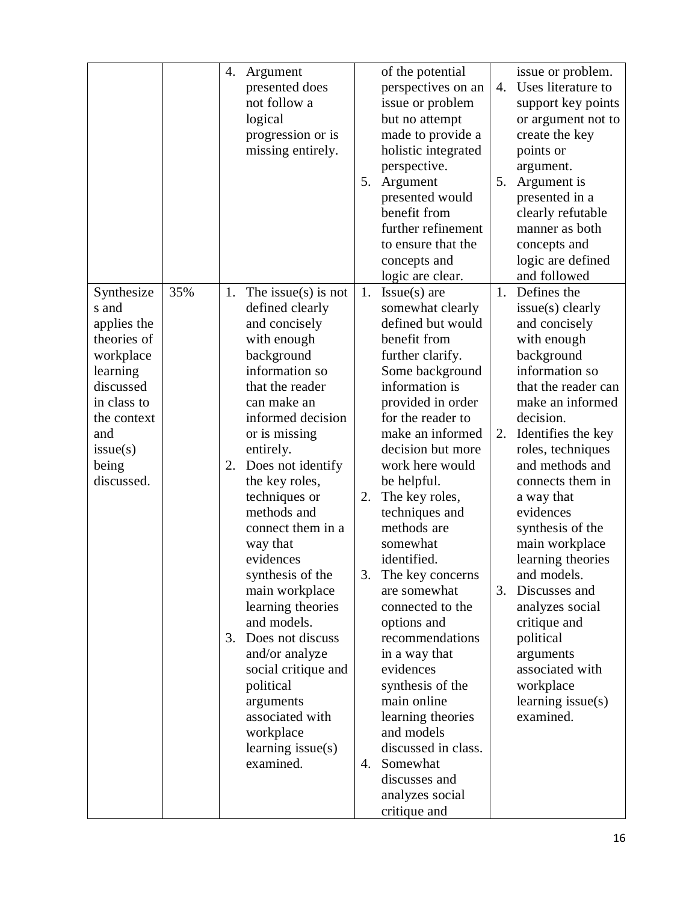|                                                                                                                                                                 |     | 4.             | Argument<br>presented does<br>not follow a<br>logical<br>progression or is<br>missing entirely.                                                                                                                                                                                                                                                                                                                                                                                                                                                     | 5.                   | of the potential<br>perspectives on an<br>issue or problem<br>but no attempt<br>made to provide a<br>holistic integrated<br>perspective.<br>Argument<br>presented would<br>benefit from<br>further refinement<br>to ensure that the<br>concepts and<br>logic are clear.                                                                                                                                                                                                                                                                                                                                                  | 4.<br>5.       | issue or problem.<br>Uses literature to<br>support key points<br>or argument not to<br>create the key<br>points or<br>argument.<br>Argument is<br>presented in a<br>clearly refutable<br>manner as both<br>concepts and<br>logic are defined<br>and followed                                                                                                                                                                                                                                   |
|-----------------------------------------------------------------------------------------------------------------------------------------------------------------|-----|----------------|-----------------------------------------------------------------------------------------------------------------------------------------------------------------------------------------------------------------------------------------------------------------------------------------------------------------------------------------------------------------------------------------------------------------------------------------------------------------------------------------------------------------------------------------------------|----------------------|--------------------------------------------------------------------------------------------------------------------------------------------------------------------------------------------------------------------------------------------------------------------------------------------------------------------------------------------------------------------------------------------------------------------------------------------------------------------------------------------------------------------------------------------------------------------------------------------------------------------------|----------------|------------------------------------------------------------------------------------------------------------------------------------------------------------------------------------------------------------------------------------------------------------------------------------------------------------------------------------------------------------------------------------------------------------------------------------------------------------------------------------------------|
| Synthesize<br>s and<br>applies the<br>theories of<br>workplace<br>learning<br>discussed<br>in class to<br>the context<br>and<br>issue(s)<br>being<br>discussed. | 35% | 1.<br>2.<br>3. | The issue(s) is not<br>defined clearly<br>and concisely<br>with enough<br>background<br>information so<br>that the reader<br>can make an<br>informed decision<br>or is missing<br>entirely.<br>Does not identify<br>the key roles,<br>techniques or<br>methods and<br>connect them in a<br>way that<br>evidences<br>synthesis of the<br>main workplace<br>learning theories<br>and models.<br>Does not discuss<br>and/or analyze<br>social critique and<br>political<br>arguments<br>associated with<br>workplace<br>learning issue(s)<br>examined. | 1.<br>2.<br>3.<br>4. | $Issue(s)$ are<br>somewhat clearly<br>defined but would<br>benefit from<br>further clarify.<br>Some background<br>information is<br>provided in order<br>for the reader to<br>make an informed<br>decision but more<br>work here would<br>be helpful.<br>The key roles,<br>techniques and<br>methods are<br>somewhat<br>identified.<br>The key concerns<br>are somewhat<br>connected to the<br>options and<br>recommendations<br>in a way that<br>evidences<br>synthesis of the<br>main online<br>learning theories<br>and models<br>discussed in class.<br>Somewhat<br>discusses and<br>analyzes social<br>critique and | 1.<br>2.<br>3. | Defines the<br>issue(s) clearly<br>and concisely<br>with enough<br>background<br>information so<br>that the reader can<br>make an informed<br>decision.<br>Identifies the key<br>roles, techniques<br>and methods and<br>connects them in<br>a way that<br>evidences<br>synthesis of the<br>main workplace<br>learning theories<br>and models.<br>Discusses and<br>analyzes social<br>critique and<br>political<br>arguments<br>associated with<br>workplace<br>learning issue(s)<br>examined. |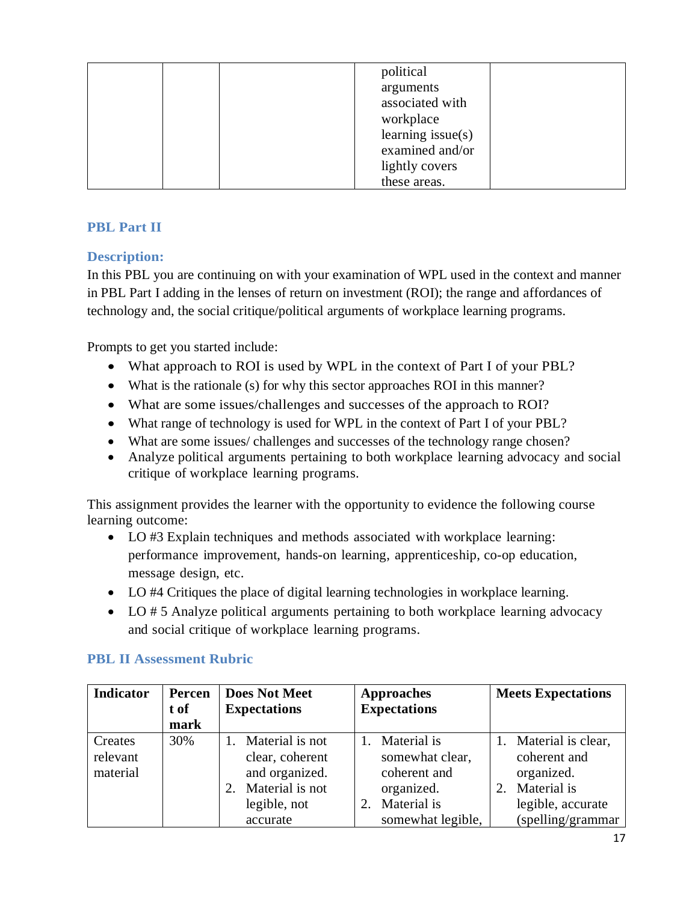|  | political           |  |
|--|---------------------|--|
|  | arguments           |  |
|  | associated with     |  |
|  | workplace           |  |
|  | learning $issue(s)$ |  |
|  | examined and/or     |  |
|  | lightly covers      |  |
|  | these areas.        |  |

# **PBL Part II**

# **Description:**

In this PBL you are continuing on with your examination of WPL used in the context and manner in PBL Part I adding in the lenses of return on investment (ROI); the range and affordances of technology and, the social critique/political arguments of workplace learning programs.

Prompts to get you started include:

- What approach to ROI is used by WPL in the context of Part I of your PBL?
- What is the rationale (s) for why this sector approaches ROI in this manner?
- What are some issues/challenges and successes of the approach to ROI?
- What range of technology is used for WPL in the context of Part I of your PBL?
- What are some issues/ challenges and successes of the technology range chosen?
- Analyze political arguments pertaining to both workplace learning advocacy and social critique of workplace learning programs.

This assignment provides the learner with the opportunity to evidence the following course learning outcome:

- LO #3 Explain techniques and methods associated with workplace learning: performance improvement, hands-on learning, apprenticeship, co-op education, message design, etc.
- LO #4 Critiques the place of digital learning technologies in workplace learning.
- LO # 5 Analyze political arguments pertaining to both workplace learning advocacy and social critique of workplace learning programs.

| <b>Indicator</b>                | Percen<br>t of<br>mark | <b>Does Not Meet</b><br><b>Expectations</b>                                                               | <b>Approaches</b><br><b>Expectations</b>                                                         | <b>Meets Expectations</b>                                                                                          |
|---------------------------------|------------------------|-----------------------------------------------------------------------------------------------------------|--------------------------------------------------------------------------------------------------|--------------------------------------------------------------------------------------------------------------------|
| Creates<br>relevant<br>material | 30%                    | Material is not<br>clear, coherent<br>and organized.<br>Material is not<br>2.<br>legible, not<br>accurate | Material is<br>somewhat clear,<br>coherent and<br>organized.<br>Material is<br>somewhat legible, | 1. Material is clear,<br>coherent and<br>organized.<br>Material is<br>2.<br>legible, accurate<br>(spelling/grammar |

## **PBL II Assessment Rubric**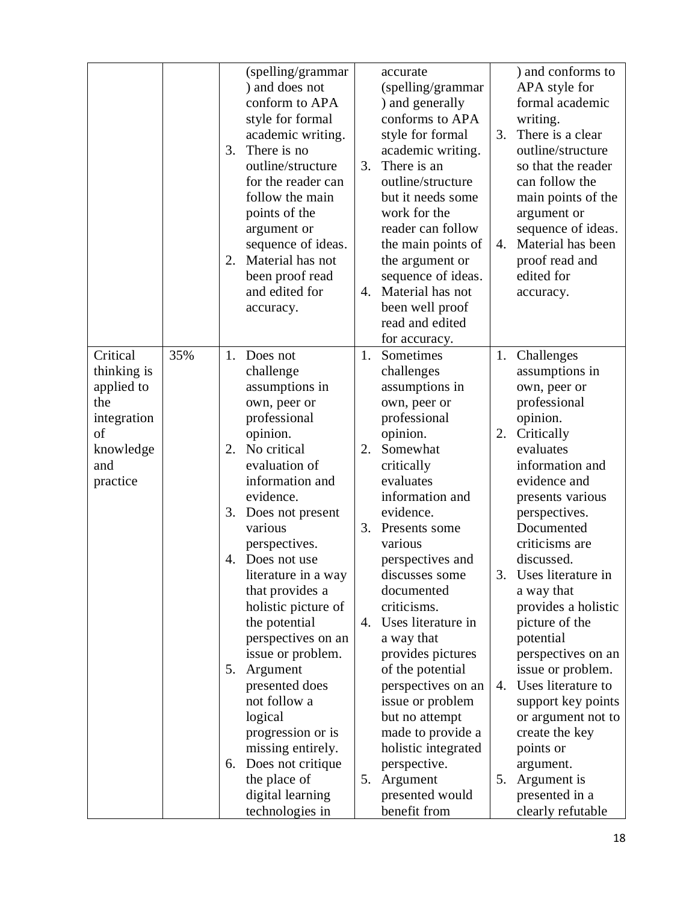|                                                                                                   |     | 3.<br>2.                         | (spelling/grammar<br>) and does not<br>conform to APA<br>style for formal<br>academic writing.<br>There is no<br>outline/structure<br>for the reader can<br>follow the main<br>points of the<br>argument or<br>sequence of ideas.<br>Material has not<br>been proof read<br>and edited for<br>accuracy.                                                                                                                                                                                  | 3.<br>$\mathbf{4}$ .       | accurate<br>(spelling/grammar<br>) and generally<br>conforms to APA<br>style for formal<br>academic writing.<br>There is an<br>outline/structure<br>but it needs some<br>work for the<br>reader can follow<br>the main points of<br>the argument or<br>sequence of ideas.<br>Material has not<br>been well proof<br>read and edited<br>for accuracy.                                                                                                                         | 3.<br>4.                   | ) and conforms to<br>APA style for<br>formal academic<br>writing.<br>There is a clear<br>outline/structure<br>so that the reader<br>can follow the<br>main points of the<br>argument or<br>sequence of ideas.<br>Material has been<br>proof read and<br>edited for<br>accuracy.                                                                                                                                                                                                             |
|---------------------------------------------------------------------------------------------------|-----|----------------------------------|------------------------------------------------------------------------------------------------------------------------------------------------------------------------------------------------------------------------------------------------------------------------------------------------------------------------------------------------------------------------------------------------------------------------------------------------------------------------------------------|----------------------------|------------------------------------------------------------------------------------------------------------------------------------------------------------------------------------------------------------------------------------------------------------------------------------------------------------------------------------------------------------------------------------------------------------------------------------------------------------------------------|----------------------------|---------------------------------------------------------------------------------------------------------------------------------------------------------------------------------------------------------------------------------------------------------------------------------------------------------------------------------------------------------------------------------------------------------------------------------------------------------------------------------------------|
| Critical<br>thinking is<br>applied to<br>the<br>integration<br>of<br>knowledge<br>and<br>practice | 35% | 1.<br>2.<br>3.<br>4.<br>5.<br>6. | Does not<br>challenge<br>assumptions in<br>own, peer or<br>professional<br>opinion.<br>No critical<br>evaluation of<br>information and<br>evidence.<br>Does not present<br>various<br>perspectives.<br>Does not use<br>literature in a way<br>that provides a<br>holistic picture of<br>the potential<br>perspectives on an<br>issue or problem.<br>Argument<br>presented does<br>not follow a<br>logical<br>progression or is<br>missing entirely.<br>Does not critique<br>the place of | 1.<br>2.<br>3.<br>4.<br>5. | Sometimes<br>challenges<br>assumptions in<br>own, peer or<br>professional<br>opinion.<br>Somewhat<br>critically<br>evaluates<br>information and<br>evidence.<br>Presents some<br>various<br>perspectives and<br>discusses some<br>documented<br>criticisms.<br>Uses literature in<br>a way that<br>provides pictures<br>of the potential<br>perspectives on an<br>issue or problem<br>but no attempt<br>made to provide a<br>holistic integrated<br>perspective.<br>Argument | 1.<br>2.<br>3.<br>4.<br>5. | Challenges<br>assumptions in<br>own, peer or<br>professional<br>opinion.<br>Critically<br>evaluates<br>information and<br>evidence and<br>presents various<br>perspectives.<br>Documented<br>criticisms are<br>discussed.<br>Uses literature in<br>a way that<br>provides a holistic<br>picture of the<br>potential<br>perspectives on an<br>issue or problem.<br>Uses literature to<br>support key points<br>or argument not to<br>create the key<br>points or<br>argument.<br>Argument is |
|                                                                                                   |     |                                  | digital learning<br>technologies in                                                                                                                                                                                                                                                                                                                                                                                                                                                      |                            | presented would<br>benefit from                                                                                                                                                                                                                                                                                                                                                                                                                                              |                            | presented in a<br>clearly refutable                                                                                                                                                                                                                                                                                                                                                                                                                                                         |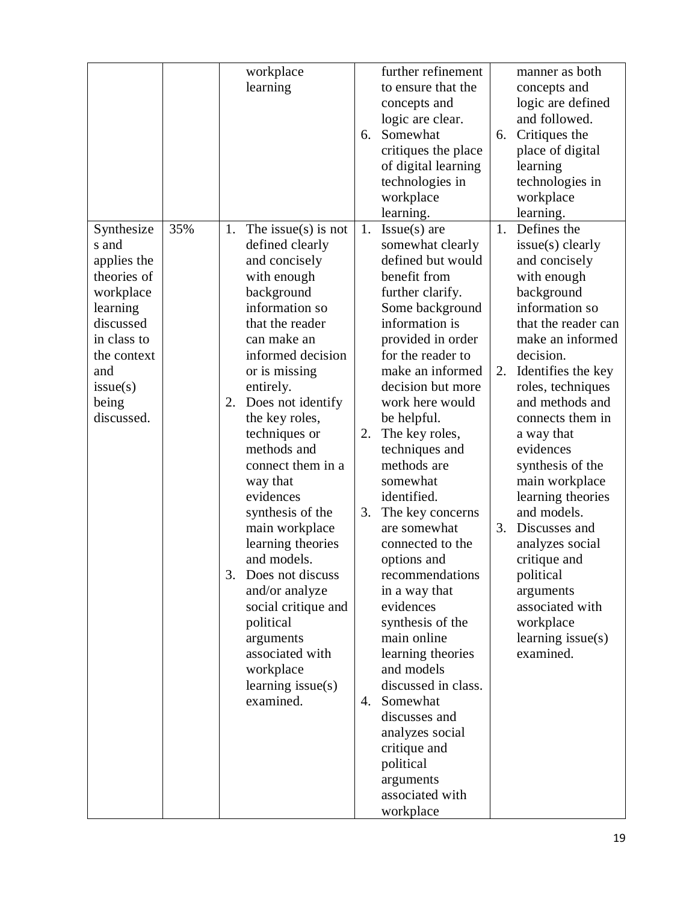|                                                                                                                                                                 |     |          | workplace<br>learning                                                                                                                                                                                                                                                                                                                                                                                                                                                                                                                                    | 6.                   | further refinement<br>to ensure that the<br>concepts and<br>logic are clear.<br>Somewhat<br>critiques the place<br>of digital learning<br>technologies in<br>workplace<br>learning.                                                                                                                                                                                                                                                                                                                                                                                                                                                                                                | 6.             | manner as both<br>concepts and<br>logic are defined<br>and followed.<br>Critiques the<br>place of digital<br>learning<br>technologies in<br>workplace<br>learning.                                                                                                                                                                                                                                                                                                                             |
|-----------------------------------------------------------------------------------------------------------------------------------------------------------------|-----|----------|----------------------------------------------------------------------------------------------------------------------------------------------------------------------------------------------------------------------------------------------------------------------------------------------------------------------------------------------------------------------------------------------------------------------------------------------------------------------------------------------------------------------------------------------------------|----------------------|------------------------------------------------------------------------------------------------------------------------------------------------------------------------------------------------------------------------------------------------------------------------------------------------------------------------------------------------------------------------------------------------------------------------------------------------------------------------------------------------------------------------------------------------------------------------------------------------------------------------------------------------------------------------------------|----------------|------------------------------------------------------------------------------------------------------------------------------------------------------------------------------------------------------------------------------------------------------------------------------------------------------------------------------------------------------------------------------------------------------------------------------------------------------------------------------------------------|
| Synthesize<br>s and<br>applies the<br>theories of<br>workplace<br>learning<br>discussed<br>in class to<br>the context<br>and<br>issue(s)<br>being<br>discussed. | 35% | 1.<br>2. | The issue(s) is not<br>defined clearly<br>and concisely<br>with enough<br>background<br>information so<br>that the reader<br>can make an<br>informed decision<br>or is missing<br>entirely.<br>Does not identify<br>the key roles,<br>techniques or<br>methods and<br>connect them in a<br>way that<br>evidences<br>synthesis of the<br>main workplace<br>learning theories<br>and models.<br>3. Does not discuss<br>and/or analyze<br>social critique and<br>political<br>arguments<br>associated with<br>workplace<br>learning $issue(s)$<br>examined. | 1.<br>2.<br>3.<br>4. | $Issue(s)$ are<br>somewhat clearly<br>defined but would<br>benefit from<br>further clarify.<br>Some background<br>information is<br>provided in order<br>for the reader to<br>make an informed<br>decision but more<br>work here would<br>be helpful.<br>The key roles,<br>techniques and<br>methods are<br>somewhat<br>identified.<br>The key concerns<br>are somewhat<br>connected to the<br>options and<br>recommendations<br>in a way that<br>evidences<br>synthesis of the<br>main online<br>learning theories<br>and models<br>discussed in class.<br>Somewhat<br>discusses and<br>analyzes social<br>critique and<br>political<br>arguments<br>associated with<br>workplace | 1.<br>2.<br>3. | Defines the<br>issue(s) clearly<br>and concisely<br>with enough<br>background<br>information so<br>that the reader can<br>make an informed<br>decision.<br>Identifies the key<br>roles, techniques<br>and methods and<br>connects them in<br>a way that<br>evidences<br>synthesis of the<br>main workplace<br>learning theories<br>and models.<br>Discusses and<br>analyzes social<br>critique and<br>political<br>arguments<br>associated with<br>workplace<br>learning issue(s)<br>examined. |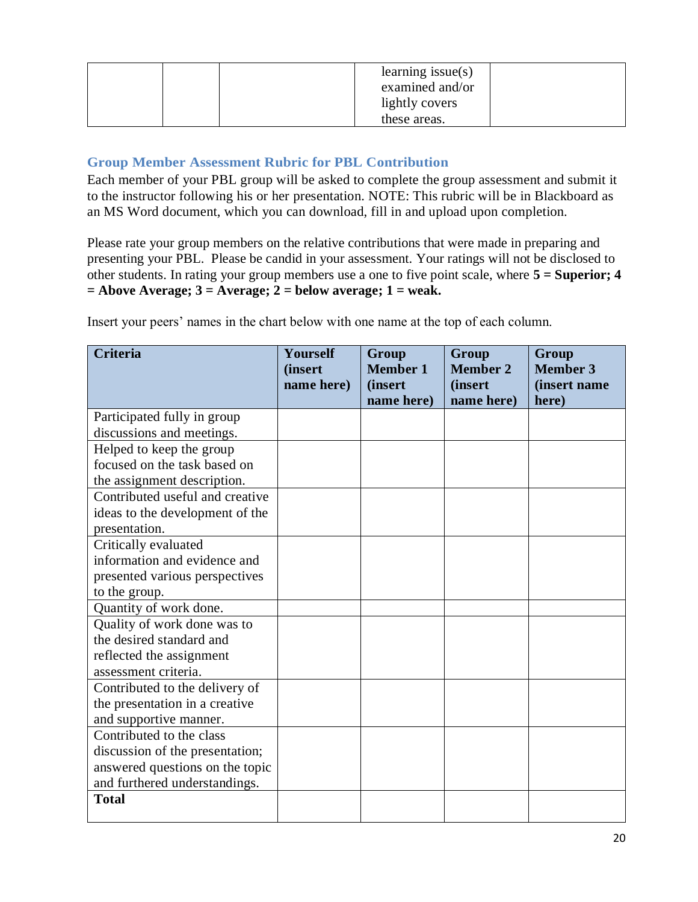|  | learning issue $(s)$<br>examined and/or |  |
|--|-----------------------------------------|--|
|  | lightly covers                          |  |
|  | these areas.                            |  |

## **Group Member Assessment Rubric for PBL Contribution**

Each member of your PBL group will be asked to complete the group assessment and submit it to the instructor following his or her presentation. NOTE: This rubric will be in Blackboard as an MS Word document, which you can download, fill in and upload upon completion.

Please rate your group members on the relative contributions that were made in preparing and presenting your PBL. Please be candid in your assessment. Your ratings will not be disclosed to other students. In rating your group members use a one to five point scale, where **5 = Superior; 4**   $=$  Above Average;  $3 =$  Average;  $2 =$  below average;  $1 =$  weak.

| <b>Criteria</b>                 | Yourself                     | Group<br><b>Member 1</b> | Group<br><b>Member 2</b> | Group<br><b>Member 3</b> |
|---------------------------------|------------------------------|--------------------------|--------------------------|--------------------------|
|                                 | <i>(insert</i><br>name here) | <i>(insert)</i>          | <i>(insert)</i>          | (insert name             |
|                                 |                              | name here)               | name here)               | here)                    |
| Participated fully in group     |                              |                          |                          |                          |
| discussions and meetings.       |                              |                          |                          |                          |
| Helped to keep the group        |                              |                          |                          |                          |
| focused on the task based on    |                              |                          |                          |                          |
| the assignment description.     |                              |                          |                          |                          |
| Contributed useful and creative |                              |                          |                          |                          |
| ideas to the development of the |                              |                          |                          |                          |
| presentation.                   |                              |                          |                          |                          |
| Critically evaluated            |                              |                          |                          |                          |
| information and evidence and    |                              |                          |                          |                          |
| presented various perspectives  |                              |                          |                          |                          |
| to the group.                   |                              |                          |                          |                          |
| Quantity of work done.          |                              |                          |                          |                          |
| Quality of work done was to     |                              |                          |                          |                          |
| the desired standard and        |                              |                          |                          |                          |
| reflected the assignment        |                              |                          |                          |                          |
| assessment criteria.            |                              |                          |                          |                          |
| Contributed to the delivery of  |                              |                          |                          |                          |
| the presentation in a creative  |                              |                          |                          |                          |
| and supportive manner.          |                              |                          |                          |                          |
| Contributed to the class        |                              |                          |                          |                          |
| discussion of the presentation; |                              |                          |                          |                          |
| answered questions on the topic |                              |                          |                          |                          |
| and furthered understandings.   |                              |                          |                          |                          |
| <b>Total</b>                    |                              |                          |                          |                          |
|                                 |                              |                          |                          |                          |

Insert your peers' names in the chart below with one name at the top of each column.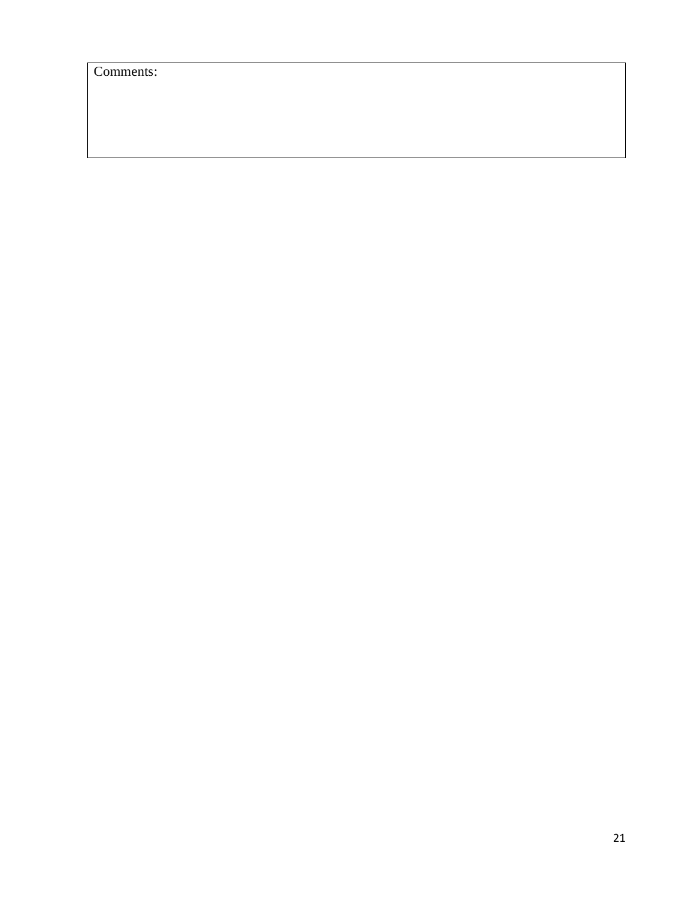Comments: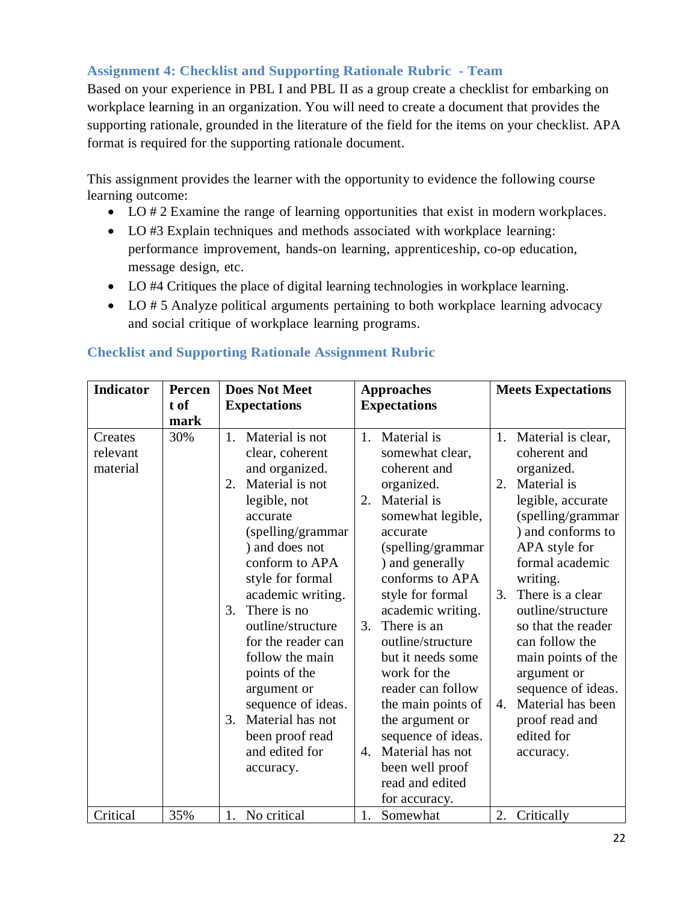# **Assignment 4: Checklist and Supporting Rationale Rubric - Team**

Based on your experience in PBL I and PBL II as a group create a checklist for embarking on workplace learning in an organization. You will need to create a document that provides the supporting rationale, grounded in the literature of the field for the items on your checklist. APA format is required for the supporting rationale document.

This assignment provides the learner with the opportunity to evidence the following course learning outcome:

- LO # 2 Examine the range of learning opportunities that exist in modern workplaces.
- LO #3 Explain techniques and methods associated with workplace learning: performance improvement, hands-on learning, apprenticeship, co-op education, message design, etc.
- LO #4 Critiques the place of digital learning technologies in workplace learning.
- LO # 5 Analyze political arguments pertaining to both workplace learning advocacy and social critique of workplace learning programs.

| Indicator | Percen | <b>Does Not Meet</b>   | <b>Approaches</b>                | <b>Meets Expectations</b>             |
|-----------|--------|------------------------|----------------------------------|---------------------------------------|
|           | t of   | <b>Expectations</b>    | <b>Expectations</b>              |                                       |
|           | mark   |                        |                                  |                                       |
| Creates   | 30%    | Material is not<br>1.  | Material is<br>1.                | 1. Material is clear,                 |
| relevant  |        | clear, coherent        | somewhat clear,                  | coherent and                          |
| material  |        | and organized.         | coherent and                     | organized.                            |
|           |        | Material is not<br>2.  | organized.                       | $\overline{2}$ .<br>Material is       |
|           |        | legible, not           | Material is<br>2.                | legible, accurate                     |
|           |        | accurate               | somewhat legible,                | (spelling/grammar                     |
|           |        | (spelling/grammar      | accurate                         | ) and conforms to                     |
|           |        | ) and does not         | (spelling/grammar                | APA style for                         |
|           |        | conform to APA         | ) and generally                  | formal academic                       |
|           |        | style for formal       | conforms to APA                  | writing.                              |
|           |        | academic writing.      | style for formal                 | There is a clear<br>3.                |
|           |        | There is no<br>3.      | academic writing.                | outline/structure                     |
|           |        | outline/structure      | There is an<br>3.                | so that the reader                    |
|           |        | for the reader can     | outline/structure                | can follow the                        |
|           |        | follow the main        | but it needs some                | main points of the                    |
|           |        | points of the          | work for the                     | argument or                           |
|           |        | argument or            | reader can follow                | sequence of ideas.                    |
|           |        | sequence of ideas.     | the main points of               | Material has been<br>$\overline{4}$ . |
|           |        | Material has not<br>3. | the argument or                  | proof read and                        |
|           |        | been proof read        | sequence of ideas.               | edited for                            |
|           |        | and edited for         | Material has not<br>$\mathbf{4}$ | accuracy.                             |
|           |        | accuracy.              | been well proof                  |                                       |
|           |        |                        | read and edited                  |                                       |
|           |        |                        | for accuracy.                    |                                       |
| Critical  | 35%    | No critical<br>1.      | 1.<br>Somewhat                   | 2.<br>Critically                      |

## **Checklist and Supporting Rationale Assignment Rubric**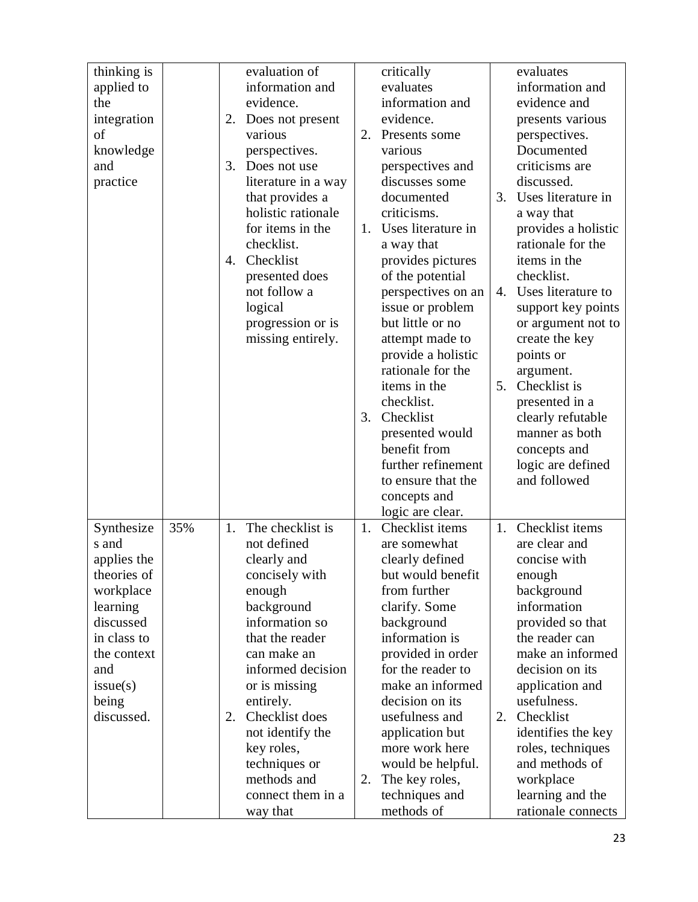| thinking is |     |    | evaluation of       |    | critically                          |    | evaluates                           |
|-------------|-----|----|---------------------|----|-------------------------------------|----|-------------------------------------|
| applied to  |     |    | information and     |    | evaluates                           |    | information and                     |
| the         |     |    | evidence.           |    | information and                     |    | evidence and                        |
| integration |     | 2. | Does not present    |    | evidence.                           |    | presents various                    |
| of          |     |    | various             | 2. | Presents some                       |    | perspectives.                       |
| knowledge   |     |    | perspectives.       |    | various                             |    | Documented                          |
| and         |     | 3. | Does not use        |    | perspectives and                    |    | criticisms are                      |
| practice    |     |    | literature in a way |    | discusses some                      |    | discussed.                          |
|             |     |    | that provides a     |    | documented                          | 3. | Uses literature in                  |
|             |     |    | holistic rationale  |    | criticisms.                         |    | a way that                          |
|             |     |    | for items in the    | 1. | Uses literature in                  |    | provides a holistic                 |
|             |     |    | checklist.          |    | a way that                          |    | rationale for the                   |
|             |     | 4. | Checklist           |    | provides pictures                   |    | items in the                        |
|             |     |    | presented does      |    | of the potential                    |    | checklist.                          |
|             |     |    | not follow a        |    | perspectives on an                  | 4. | Uses literature to                  |
|             |     |    | logical             |    | issue or problem                    |    | support key points                  |
|             |     |    | progression or is   |    | but little or no                    |    | or argument not to                  |
|             |     |    | missing entirely.   |    | attempt made to                     |    | create the key                      |
|             |     |    |                     |    | provide a holistic                  |    | points or                           |
|             |     |    |                     |    | rationale for the                   |    | argument.<br>Checklist is           |
|             |     |    |                     |    | items in the                        | 5. |                                     |
|             |     |    |                     |    | checklist.                          |    | presented in a                      |
|             |     |    |                     | 3. | Checklist                           |    | clearly refutable<br>manner as both |
|             |     |    |                     |    | presented would<br>benefit from     |    |                                     |
|             |     |    |                     |    | further refinement                  |    | concepts and                        |
|             |     |    |                     |    |                                     |    | logic are defined<br>and followed   |
|             |     |    |                     |    | to ensure that the                  |    |                                     |
|             |     |    |                     |    | concepts and                        |    |                                     |
| Synthesize  | 35% | 1. | The checklist is    | 1. | logic are clear.<br>Checklist items | 1. | Checklist items                     |
| s and       |     |    | not defined         |    | are somewhat                        |    | are clear and                       |
| applies the |     |    | clearly and         |    | clearly defined                     |    | concise with                        |
| theories of |     |    | concisely with      |    | but would benefit                   |    | enough                              |
| workplace   |     |    | enough              |    | from further                        |    | background                          |
| learning    |     |    | background          |    | clarify. Some                       |    | information                         |
| discussed   |     |    | information so      |    | background                          |    | provided so that                    |
| in class to |     |    | that the reader     |    | information is                      |    | the reader can                      |
| the context |     |    | can make an         |    | provided in order                   |    | make an informed                    |
| and         |     |    | informed decision   |    | for the reader to                   |    | decision on its                     |
| issue(s)    |     |    | or is missing       |    | make an informed                    |    | application and                     |
| being       |     |    | entirely.           |    | decision on its                     |    | usefulness.                         |
| discussed.  |     | 2. | Checklist does      |    | usefulness and                      | 2. | Checklist                           |
|             |     |    | not identify the    |    | application but                     |    | identifies the key                  |
|             |     |    | key roles,          |    | more work here                      |    | roles, techniques                   |
|             |     |    | techniques or       |    | would be helpful.                   |    | and methods of                      |
|             |     |    | methods and         | 2. | The key roles,                      |    | workplace                           |
|             |     |    | connect them in a   |    | techniques and                      |    | learning and the                    |
|             |     |    | way that            |    | methods of                          |    | rationale connects                  |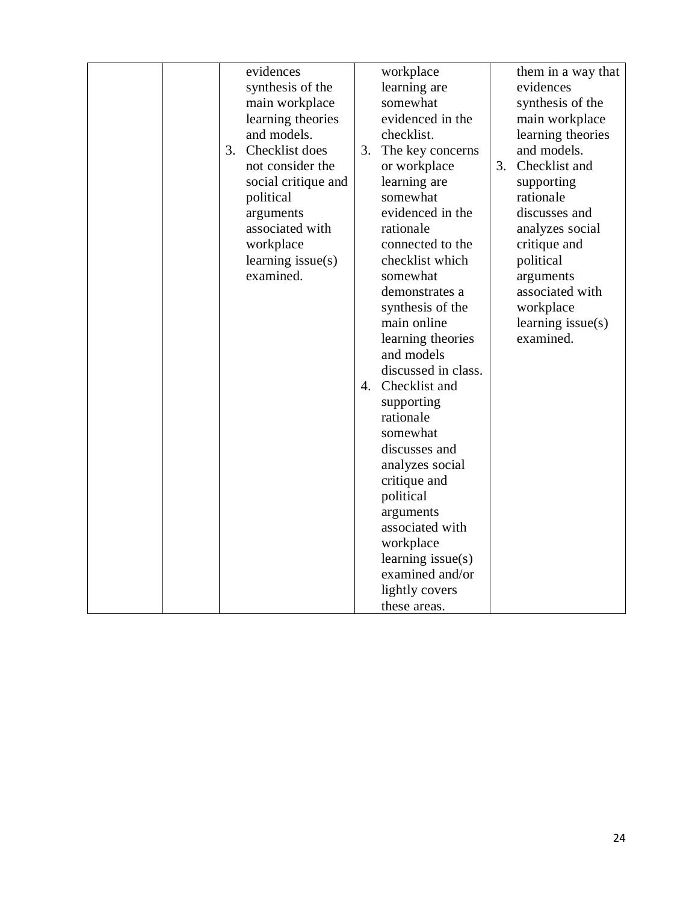|    | evidences           |    | workplace                               |    | them in a way that  |
|----|---------------------|----|-----------------------------------------|----|---------------------|
|    | synthesis of the    |    | learning are                            |    | evidences           |
|    | main workplace      |    | somewhat                                |    | synthesis of the    |
|    | learning theories   |    | evidenced in the                        |    | main workplace      |
|    | and models.         |    | checklist.                              |    | learning theories   |
| 3. | Checklist does      | 3. | The key concerns                        |    | and models.         |
|    | not consider the    |    | or workplace                            | 3. | Checklist and       |
|    | social critique and |    | learning are                            |    | supporting          |
|    | political           |    | somewhat                                |    | rationale           |
|    | arguments           |    | evidenced in the                        |    | discusses and       |
|    | associated with     |    | rationale                               |    | analyzes social     |
|    | workplace           |    | connected to the                        |    | critique and        |
|    | learning $issue(s)$ |    | checklist which                         |    | political           |
|    | examined.           |    | somewhat                                |    | arguments           |
|    |                     |    | demonstrates a                          |    | associated with     |
|    |                     |    | synthesis of the                        |    | workplace           |
|    |                     |    | main online                             |    | learning $issue(s)$ |
|    |                     |    | learning theories                       |    | examined.           |
|    |                     |    | and models                              |    |                     |
|    |                     |    | discussed in class.<br>4. Checklist and |    |                     |
|    |                     |    |                                         |    |                     |
|    |                     |    | supporting<br>rationale                 |    |                     |
|    |                     |    | somewhat                                |    |                     |
|    |                     |    | discusses and                           |    |                     |
|    |                     |    | analyzes social                         |    |                     |
|    |                     |    | critique and                            |    |                     |
|    |                     |    | political                               |    |                     |
|    |                     |    | arguments                               |    |                     |
|    |                     |    | associated with                         |    |                     |
|    |                     |    | workplace                               |    |                     |
|    |                     |    | learning $issue(s)$                     |    |                     |
|    |                     |    | examined and/or                         |    |                     |
|    |                     |    | lightly covers                          |    |                     |
|    |                     |    | these areas.                            |    |                     |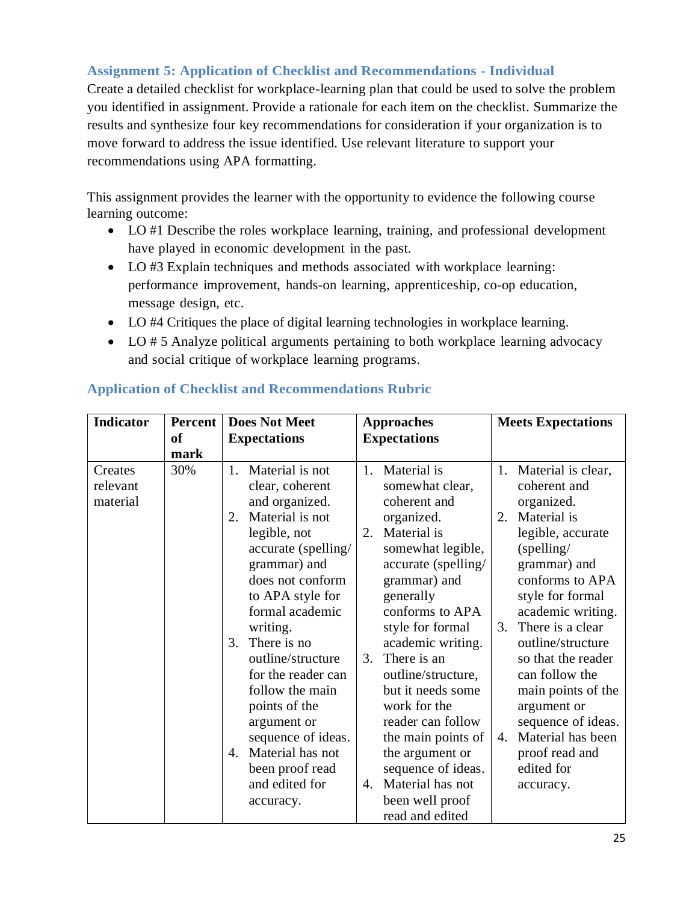# **Assignment 5: Application of Checklist and Recommendations - Individual**

Create a detailed checklist for workplace-learning plan that could be used to solve the problem you identified in assignment. Provide a rationale for each item on the checklist. Summarize the results and synthesize four key recommendations for consideration if your organization is to move forward to address the issue identified. Use relevant literature to support your recommendations using APA formatting.

This assignment provides the learner with the opportunity to evidence the following course learning outcome:

- LO #1 Describe the roles workplace learning, training, and professional development have played in economic development in the past.
- LO #3 Explain techniques and methods associated with workplace learning: performance improvement, hands-on learning, apprenticeship, co-op education, message design, etc.
- LO #4 Critiques the place of digital learning technologies in workplace learning.
- LO # 5 Analyze political arguments pertaining to both workplace learning advocacy and social critique of workplace learning programs.

| <b>Indicator</b>                | <b>Percent</b>        | <b>Does Not Meet</b>                                                                                                                                                                                                                                                                                                  | <b>Approaches</b>                                                                                                                                                                                                                                                                                            | <b>Meets Expectations</b>                                                                                                                                                                                                                                                                                                 |  |
|---------------------------------|-----------------------|-----------------------------------------------------------------------------------------------------------------------------------------------------------------------------------------------------------------------------------------------------------------------------------------------------------------------|--------------------------------------------------------------------------------------------------------------------------------------------------------------------------------------------------------------------------------------------------------------------------------------------------------------|---------------------------------------------------------------------------------------------------------------------------------------------------------------------------------------------------------------------------------------------------------------------------------------------------------------------------|--|
|                                 | <sub>of</sub><br>mark | <b>Expectations</b>                                                                                                                                                                                                                                                                                                   | <b>Expectations</b>                                                                                                                                                                                                                                                                                          |                                                                                                                                                                                                                                                                                                                           |  |
| Creates<br>relevant<br>material | 30%                   | Material is not<br>1.<br>clear, coherent<br>and organized.<br>Material is not<br>2.<br>legible, not<br>accurate (spelling/<br>grammar) and<br>does not conform<br>to APA style for<br>formal academic<br>writing.<br>There is no<br>3.<br>outline/structure<br>for the reader can<br>follow the main<br>points of the | Material is<br>1.<br>somewhat clear,<br>coherent and<br>organized.<br>Material is<br>2.<br>somewhat legible,<br>accurate (spelling/<br>grammar) and<br>generally<br>conforms to APA<br>style for formal<br>academic writing.<br>There is an<br>3.<br>outline/structure,<br>but it needs some<br>work for the | Material is clear,<br>1.<br>coherent and<br>organized.<br>Material is<br>2.<br>legible, accurate<br>$(s$ pelling/<br>grammar) and<br>conforms to APA<br>style for formal<br>academic writing.<br>There is a clear<br>3.<br>outline/structure<br>so that the reader<br>can follow the<br>main points of the<br>argument or |  |
|                                 |                       | argument or<br>sequence of ideas.<br>Material has not<br>4.<br>been proof read<br>and edited for<br>accuracy.                                                                                                                                                                                                         | reader can follow<br>the main points of<br>the argument or<br>sequence of ideas.<br>Material has not<br>$\mathbf{4}$ .<br>been well proof<br>read and edited                                                                                                                                                 | sequence of ideas.<br>Material has been<br>4.<br>proof read and<br>edited for<br>accuracy.                                                                                                                                                                                                                                |  |

# **Application of Checklist and Recommendations Rubric**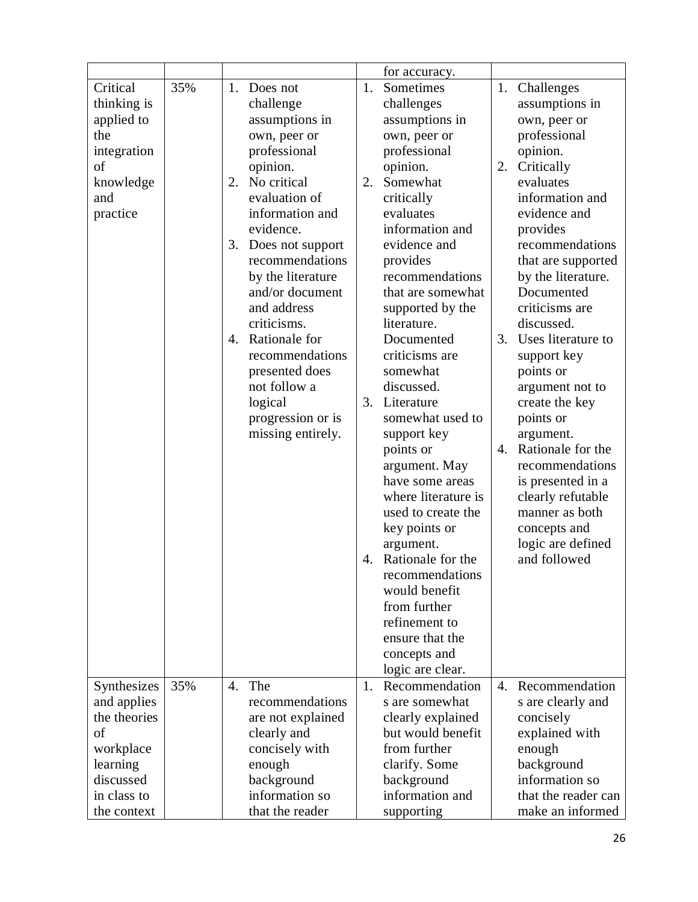|                             |     |                  |                   |    | for accuracy.                      |                |                     |
|-----------------------------|-----|------------------|-------------------|----|------------------------------------|----------------|---------------------|
| Critical                    | 35% | 1.               | Does not          | 1. | Sometimes                          | 1.             | Challenges          |
| thinking is                 |     |                  | challenge         |    | challenges                         |                | assumptions in      |
| applied to                  |     |                  | assumptions in    |    | assumptions in                     |                | own, peer or        |
| the                         |     |                  | own, peer or      |    |                                    |                | professional        |
|                             |     |                  | professional      |    | own, peer or<br>professional       |                | opinion.            |
| integration<br>of           |     |                  |                   |    |                                    | 2.             |                     |
|                             |     |                  | opinion.          |    | opinion.                           |                | Critically          |
| knowledge                   |     | 2.               | No critical       | 2. | Somewhat                           |                | evaluates           |
| and                         |     |                  | evaluation of     |    | critically                         |                | information and     |
| practice                    |     |                  | information and   |    | evaluates                          |                | evidence and        |
|                             |     |                  | evidence.         |    | information and                    |                | provides            |
|                             |     | 3.               | Does not support  |    | evidence and                       |                | recommendations     |
|                             |     |                  | recommendations   |    | provides                           |                | that are supported  |
|                             |     |                  | by the literature |    | recommendations                    |                | by the literature.  |
|                             |     |                  | and/or document   |    | that are somewhat                  |                | Documented          |
|                             |     |                  | and address       |    | supported by the                   |                | criticisms are      |
|                             |     |                  | criticisms.       |    | literature.                        |                | discussed.          |
|                             |     | 4.               | Rationale for     |    | Documented                         | 3.             | Uses literature to  |
|                             |     |                  | recommendations   |    | criticisms are                     |                | support key         |
|                             |     |                  | presented does    |    | somewhat                           |                | points or           |
|                             |     |                  | not follow a      |    | discussed.                         |                | argument not to     |
|                             |     |                  | logical           | 3. | Literature                         |                | create the key      |
|                             |     |                  | progression or is |    | somewhat used to                   |                | points or           |
|                             |     |                  | missing entirely. |    | support key                        |                | argument.           |
|                             |     |                  |                   |    | points or                          | 4.             | Rationale for the   |
|                             |     |                  |                   |    | argument. May                      |                | recommendations     |
|                             |     |                  |                   |    | have some areas                    |                | is presented in a   |
|                             |     |                  |                   |    | where literature is                |                | clearly refutable   |
|                             |     |                  |                   |    | used to create the                 |                | manner as both      |
|                             |     |                  |                   |    | key points or                      |                | concepts and        |
|                             |     |                  |                   |    | argument.                          |                | logic are defined   |
|                             |     |                  |                   |    | 4. Rationale for the               |                | and followed        |
|                             |     |                  |                   |    | recommendations                    |                |                     |
|                             |     |                  |                   |    | would benefit                      |                |                     |
|                             |     |                  |                   |    | from further                       |                |                     |
|                             |     |                  |                   |    | refinement to                      |                |                     |
|                             |     |                  |                   |    | ensure that the                    |                |                     |
|                             |     |                  |                   |    | concepts and                       |                |                     |
|                             |     |                  |                   |    |                                    |                |                     |
| Synthesizes                 | 35% | $\overline{4}$ . | The               | 1. | logic are clear.<br>Recommendation | $\mathbf{4}$ . | Recommendation      |
|                             |     |                  | recommendations   |    | s are somewhat                     |                |                     |
| and applies<br>the theories |     |                  |                   |    |                                    |                | s are clearly and   |
| of                          |     |                  | are not explained |    | clearly explained                  |                | concisely           |
|                             |     |                  | clearly and       |    | but would benefit                  |                | explained with      |
| workplace                   |     |                  | concisely with    |    | from further                       |                | enough              |
| learning                    |     |                  | enough            |    | clarify. Some                      |                | background          |
| discussed                   |     |                  | background        |    | background                         |                | information so      |
| in class to                 |     |                  | information so    |    | information and                    |                | that the reader can |
| the context                 |     |                  | that the reader   |    | supporting                         |                | make an informed    |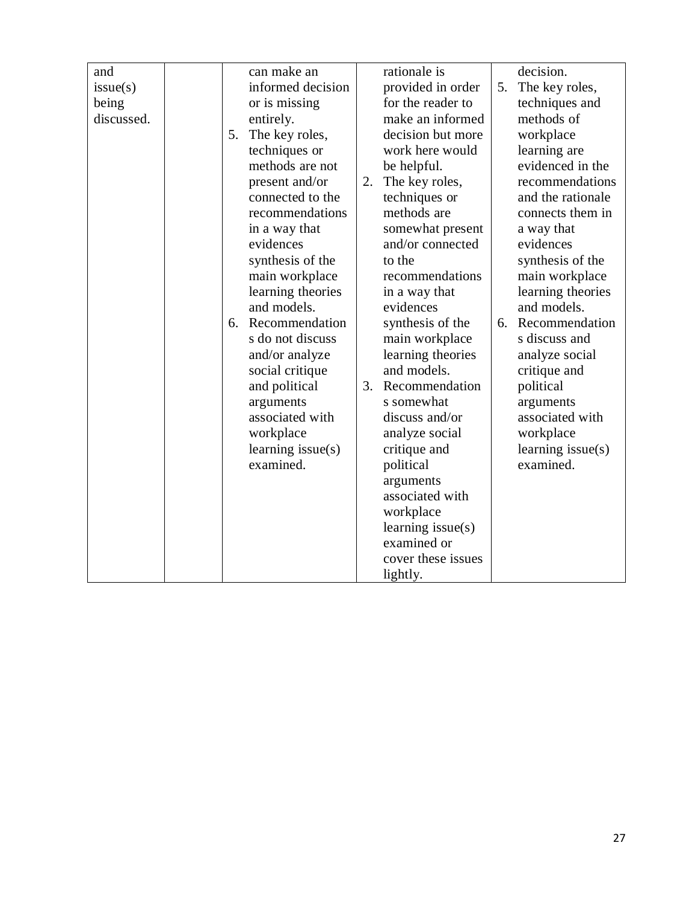| and        |    | can make an         |    | rationale is        |    | decision.           |
|------------|----|---------------------|----|---------------------|----|---------------------|
| issue(s)   |    | informed decision   |    | provided in order   | 5. | The key roles,      |
| being      |    | or is missing       |    | for the reader to   |    | techniques and      |
| discussed. |    | entirely.           |    | make an informed    |    | methods of          |
|            | 5. | The key roles,      |    | decision but more   |    | workplace           |
|            |    | techniques or       |    | work here would     |    | learning are        |
|            |    | methods are not     |    | be helpful.         |    | evidenced in the    |
|            |    | present and/or      | 2. | The key roles,      |    | recommendations     |
|            |    | connected to the    |    | techniques or       |    | and the rationale   |
|            |    | recommendations     |    | methods are         |    | connects them in    |
|            |    | in a way that       |    | somewhat present    |    | a way that          |
|            |    | evidences           |    | and/or connected    |    | evidences           |
|            |    | synthesis of the    |    | to the              |    | synthesis of the    |
|            |    | main workplace      |    | recommendations     |    | main workplace      |
|            |    | learning theories   |    | in a way that       |    | learning theories   |
|            |    | and models.         |    | evidences           |    | and models.         |
|            | 6. | Recommendation      |    | synthesis of the    | 6. | Recommendation      |
|            |    | s do not discuss    |    | main workplace      |    | s discuss and       |
|            |    | and/or analyze      |    | learning theories   |    | analyze social      |
|            |    | social critique     |    | and models.         |    | critique and        |
|            |    | and political       | 3. | Recommendation      |    | political           |
|            |    | arguments           |    | s somewhat          |    | arguments           |
|            |    | associated with     |    | discuss and/or      |    | associated with     |
|            |    | workplace           |    | analyze social      |    | workplace           |
|            |    | learning $issue(s)$ |    | critique and        |    | learning $issue(s)$ |
|            |    | examined.           |    | political           |    | examined.           |
|            |    |                     |    | arguments           |    |                     |
|            |    |                     |    | associated with     |    |                     |
|            |    |                     |    | workplace           |    |                     |
|            |    |                     |    | learning $issue(s)$ |    |                     |
|            |    |                     |    | examined or         |    |                     |
|            |    |                     |    | cover these issues  |    |                     |
|            |    |                     |    | lightly.            |    |                     |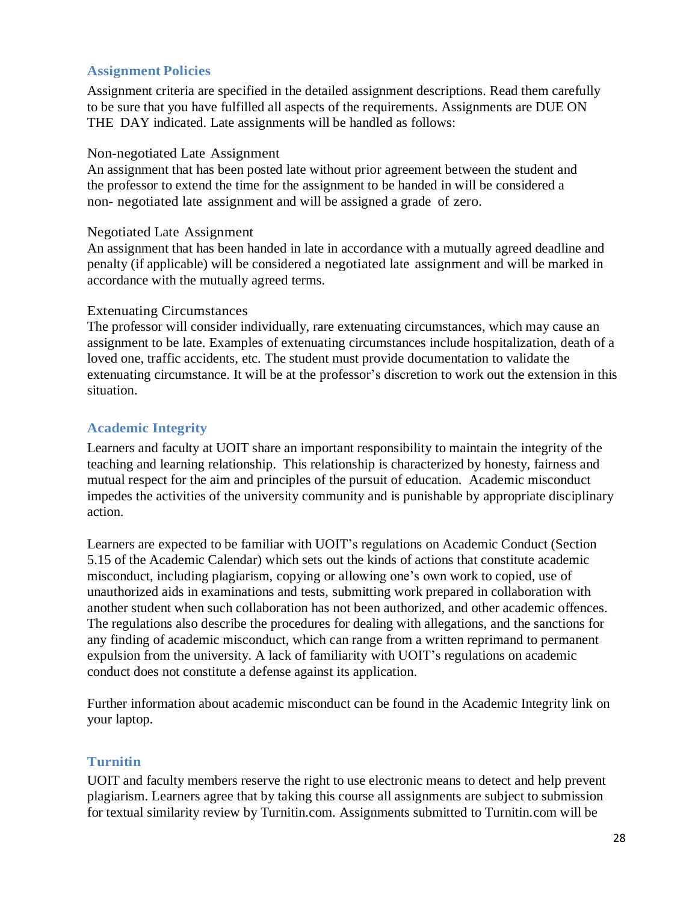## **Assignment Policies**

Assignment criteria are specified in the detailed assignment descriptions. Read them carefully to be sure that you have fulfilled all aspects of the requirements. Assignments are DUE ON THE DAY indicated. Late assignments will be handled as follows:

#### Non-negotiated Late Assignment

An assignment that has been posted late without prior agreement between the student and the professor to extend the time for the assignment to be handed in will be considered a non- negotiated late assignment and will be assigned a grade of zero.

#### Negotiated Late Assignment

An assignment that has been handed in late in accordance with a mutually agreed deadline and penalty (if applicable) will be considered a negotiated late assignment and will be marked in accordance with the mutually agreed terms.

### Extenuating Circumstances

The professor will consider individually, rare extenuating circumstances, which may cause an assignment to be late. Examples of extenuating circumstances include hospitalization, death of a loved one, traffic accidents, etc. The student must provide documentation to validate the extenuating circumstance. It will be at the professor's discretion to work out the extension in this situation.

## **Academic Integrity**

Learners and faculty at UOIT share an important responsibility to maintain the integrity of the teaching and learning relationship. This relationship is characterized by honesty, fairness and mutual respect for the aim and principles of the pursuit of education. Academic misconduct impedes the activities of the university community and is punishable by appropriate disciplinary action.

Learners are expected to be familiar with UOIT's regulations on Academic Conduct (Section 5.15 of the Academic Calendar) which sets out the kinds of actions that constitute academic misconduct, including plagiarism, copying or allowing one's own work to copied, use of unauthorized aids in examinations and tests, submitting work prepared in collaboration with another student when such collaboration has not been authorized, and other academic offences. The regulations also describe the procedures for dealing with allegations, and the sanctions for any finding of academic misconduct, which can range from a written reprimand to permanent expulsion from the university. A lack of familiarity with UOIT's regulations on academic conduct does not constitute a defense against its application.

Further information about academic misconduct can be found in the Academic Integrity link on your laptop.

## **Turnitin**

UOIT and faculty members reserve the right to use electronic means to detect and help prevent plagiarism. Learners agree that by taking this course all assignments are subject to submission for textual similarity review by Turnitin.com. Assignments submitted to Turnitin.com will be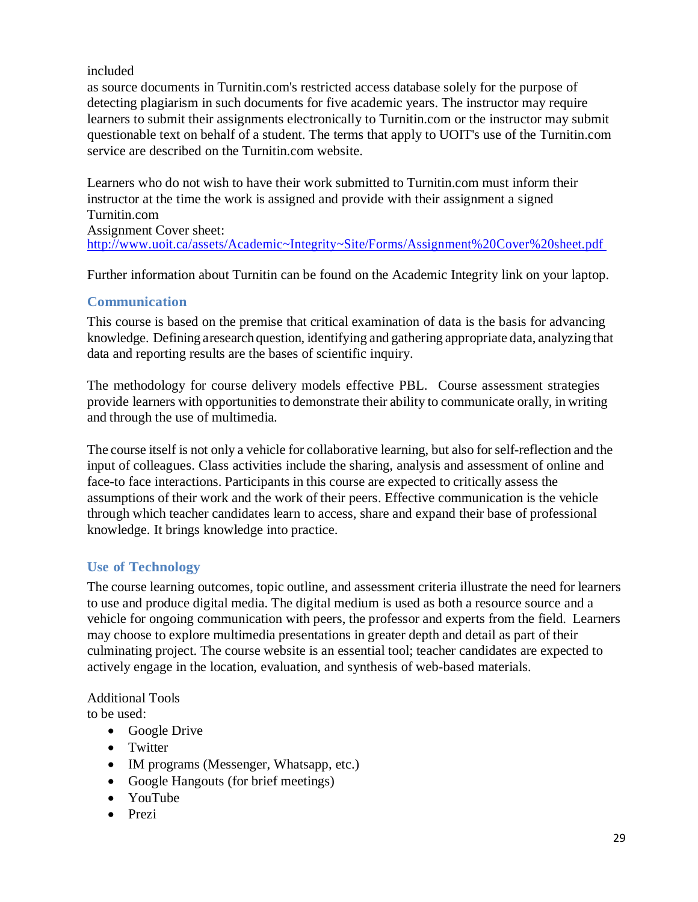included

as source documents in Turnitin.com's restricted access database solely for the purpose of detecting plagiarism in such documents for five academic years. The instructor may require learners to submit their assignments electronically to Turnitin.com or the instructor may submit questionable text on behalf of a student. The terms that apply to UOIT's use of the Turnitin.com service are described on the Turnitin.com website.

Learners who do not wish to have their work submitted to Turnitin.com must inform their instructor at the time the work is assigned and provide with their assignment a signed Turnitin.com

Assignment Cover sheet: <http://www.uoit.ca/assets/Academic~Integrity~Site/Forms/Assignment%20Cover%20sheet.pdf>

Further information about Turnitin can be found on the Academic Integrity link on your laptop.

# **Communication**

This course is based on the premise that critical examination of data is the basis for advancing knowledge. Defining aresearch question, identifying and gathering appropriate data, analyzing that data and reporting results are the bases of scientific inquiry.

The methodology for course delivery models effective PBL. Course assessment strategies provide learners with opportunitiesto demonstrate their ability to communicate orally, in writing and through the use of multimedia.

The course itself is not only a vehicle for collaborative learning, but also forself-reflection and the input of colleagues. Class activities include the sharing, analysis and assessment of online and face-to face interactions. Participants in this course are expected to critically assess the assumptions of their work and the work of their peers. Effective communication is the vehicle through which teacher candidates learn to access, share and expand their base of professional knowledge. It brings knowledge into practice.

# **Use of Technology**

The course learning outcomes, topic outline, and assessment criteria illustrate the need for learners to use and produce digital media. The digital medium is used as both a resource source and a vehicle for ongoing communication with peers, the professor and experts from the field. Learners may choose to explore multimedia presentations in greater depth and detail as part of their culminating project. The course website is an essential tool; teacher candidates are expected to actively engage in the location, evaluation, and synthesis of web-based materials.

Additional Tools to be used:

- Google Drive
- Twitter
- IM programs (Messenger, Whatsapp, etc.)
- Google Hangouts (for brief meetings)
- YouTube
- Prezi